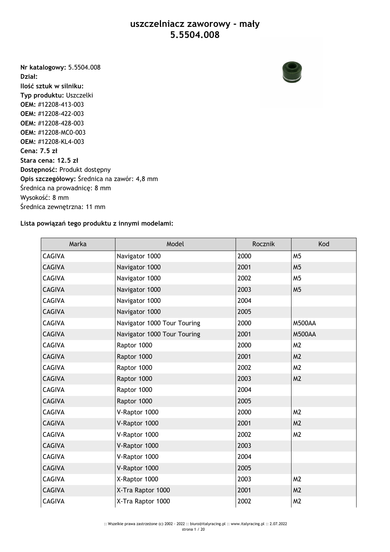## **uszczelniacz zaworowy - mały 5.5504.008**

**Nr katalogowy:** 5.5504.008 **Dział: Ilość sztuk w silniku: Typ produktu:** Uszczelki **OEM:** #12208-413-003 **OEM:** #12208-422-003 **OEM:** #12208-428-003 **OEM:** #12208-MC0-003 **OEM:** #12208-KL4-003 **Cena: 7.5 zł Stara cena: 12.5 zł Dostępność:** Produkt dostępny **Opis szczegółowy:** Średnica na zawór: 4,8 mm Średnica na prowadnicę: 8 mm Wysokość: 8 mm Średnica zewnętrzna: 11 mm

## **Lista powiązań tego produktu z innymi modelami:**

| Marka         | Model                       | Rocznik | Kod            |
|---------------|-----------------------------|---------|----------------|
| <b>CAGIVA</b> | Navigator 1000              | 2000    | M <sub>5</sub> |
| <b>CAGIVA</b> | Navigator 1000              | 2001    | M <sub>5</sub> |
| <b>CAGIVA</b> | Navigator 1000              | 2002    | M <sub>5</sub> |
| <b>CAGIVA</b> | Navigator 1000              | 2003    | M <sub>5</sub> |
| <b>CAGIVA</b> | Navigator 1000              | 2004    |                |
| <b>CAGIVA</b> | Navigator 1000              | 2005    |                |
| <b>CAGIVA</b> | Navigator 1000 Tour Touring | 2000    | <b>M500AA</b>  |
| <b>CAGIVA</b> | Navigator 1000 Tour Touring | 2001    | <b>M500AA</b>  |
| <b>CAGIVA</b> | Raptor 1000                 | 2000    | M <sub>2</sub> |
| <b>CAGIVA</b> | Raptor 1000                 | 2001    | M <sub>2</sub> |
| <b>CAGIVA</b> | Raptor 1000                 | 2002    | M <sub>2</sub> |
| <b>CAGIVA</b> | Raptor 1000                 | 2003    | M <sub>2</sub> |
| <b>CAGIVA</b> | Raptor 1000                 | 2004    |                |
| <b>CAGIVA</b> | Raptor 1000                 | 2005    |                |
| <b>CAGIVA</b> | V-Raptor 1000               | 2000    | M <sub>2</sub> |
| <b>CAGIVA</b> | V-Raptor 1000               | 2001    | M <sub>2</sub> |
| <b>CAGIVA</b> | V-Raptor 1000               | 2002    | M <sub>2</sub> |
| <b>CAGIVA</b> | V-Raptor 1000               | 2003    |                |
| <b>CAGIVA</b> | V-Raptor 1000               | 2004    |                |
| <b>CAGIVA</b> | V-Raptor 1000               | 2005    |                |
| <b>CAGIVA</b> | X-Raptor 1000               | 2003    | M <sub>2</sub> |
| <b>CAGIVA</b> | X-Tra Raptor 1000           | 2001    | M <sub>2</sub> |
| <b>CAGIVA</b> | X-Tra Raptor 1000           | 2002    | M <sub>2</sub> |

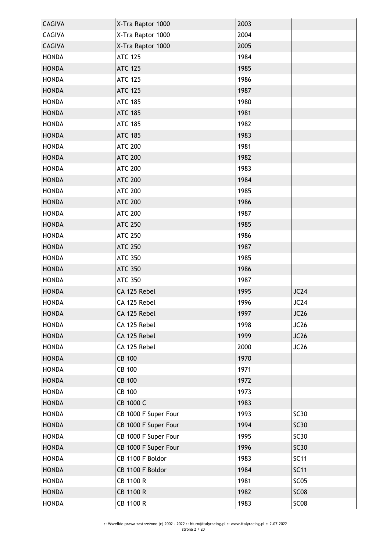| <b>CAGIVA</b> | X-Tra Raptor 1000    | 2003 |                  |
|---------------|----------------------|------|------------------|
| <b>CAGIVA</b> | X-Tra Raptor 1000    | 2004 |                  |
| <b>CAGIVA</b> | X-Tra Raptor 1000    | 2005 |                  |
| <b>HONDA</b>  | <b>ATC 125</b>       | 1984 |                  |
| <b>HONDA</b>  | <b>ATC 125</b>       | 1985 |                  |
| <b>HONDA</b>  | <b>ATC 125</b>       | 1986 |                  |
| <b>HONDA</b>  | <b>ATC 125</b>       | 1987 |                  |
| <b>HONDA</b>  | <b>ATC 185</b>       | 1980 |                  |
| <b>HONDA</b>  | <b>ATC 185</b>       | 1981 |                  |
| <b>HONDA</b>  | <b>ATC 185</b>       | 1982 |                  |
| <b>HONDA</b>  | <b>ATC 185</b>       | 1983 |                  |
| <b>HONDA</b>  | <b>ATC 200</b>       | 1981 |                  |
| <b>HONDA</b>  | <b>ATC 200</b>       | 1982 |                  |
| <b>HONDA</b>  | <b>ATC 200</b>       | 1983 |                  |
| <b>HONDA</b>  | <b>ATC 200</b>       | 1984 |                  |
| <b>HONDA</b>  | <b>ATC 200</b>       | 1985 |                  |
| <b>HONDA</b>  | <b>ATC 200</b>       | 1986 |                  |
| <b>HONDA</b>  | <b>ATC 200</b>       | 1987 |                  |
| <b>HONDA</b>  | <b>ATC 250</b>       | 1985 |                  |
| <b>HONDA</b>  | <b>ATC 250</b>       | 1986 |                  |
| <b>HONDA</b>  | <b>ATC 250</b>       | 1987 |                  |
| <b>HONDA</b>  | <b>ATC 350</b>       | 1985 |                  |
| <b>HONDA</b>  | <b>ATC 350</b>       | 1986 |                  |
| <b>HONDA</b>  | <b>ATC 350</b>       | 1987 |                  |
| <b>HONDA</b>  | CA 125 Rebel         | 1995 | JC24             |
| <b>HONDA</b>  | CA 125 Rebel         | 1996 | JC24             |
| <b>HONDA</b>  | CA 125 Rebel         | 1997 | JC26             |
| <b>HONDA</b>  | CA 125 Rebel         | 1998 | <b>JC26</b>      |
| <b>HONDA</b>  | CA 125 Rebel         | 1999 | JC26             |
| <b>HONDA</b>  | CA 125 Rebel         | 2000 | <b>JC26</b>      |
| <b>HONDA</b>  | <b>CB 100</b>        | 1970 |                  |
| <b>HONDA</b>  | <b>CB 100</b>        | 1971 |                  |
| <b>HONDA</b>  | <b>CB 100</b>        | 1972 |                  |
| <b>HONDA</b>  | <b>CB 100</b>        | 1973 |                  |
| <b>HONDA</b>  | CB 1000 C            | 1983 |                  |
| <b>HONDA</b>  | CB 1000 F Super Four | 1993 | <b>SC30</b>      |
| <b>HONDA</b>  | CB 1000 F Super Four | 1994 | <b>SC30</b>      |
| <b>HONDA</b>  | CB 1000 F Super Four | 1995 | <b>SC30</b>      |
| <b>HONDA</b>  | CB 1000 F Super Four | 1996 | <b>SC30</b>      |
| <b>HONDA</b>  | CB 1100 F Boldor     | 1983 | <b>SC11</b>      |
| <b>HONDA</b>  | CB 1100 F Boldor     | 1984 | <b>SC11</b>      |
| <b>HONDA</b>  | CB 1100 R            | 1981 | SC <sub>05</sub> |
| <b>HONDA</b>  | <b>CB 1100 R</b>     | 1982 | <b>SC08</b>      |
| <b>HONDA</b>  | CB 1100 R            | 1983 | SC <sub>08</sub> |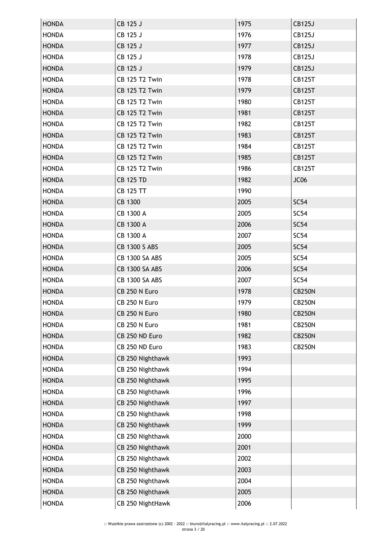| <b>HONDA</b> | CB 125 J              | 1975 | <b>CB125J</b>    |
|--------------|-----------------------|------|------------------|
| <b>HONDA</b> | CB 125 J              | 1976 | <b>CB125J</b>    |
| <b>HONDA</b> | CB 125 J              | 1977 | <b>CB125J</b>    |
| <b>HONDA</b> | CB 125 J              | 1978 | <b>CB125J</b>    |
| <b>HONDA</b> | CB 125 J              | 1979 | <b>CB125J</b>    |
| <b>HONDA</b> | <b>CB 125 T2 Twin</b> | 1978 | <b>CB125T</b>    |
| <b>HONDA</b> | <b>CB 125 T2 Twin</b> | 1979 | <b>CB125T</b>    |
| <b>HONDA</b> | <b>CB 125 T2 Twin</b> | 1980 | <b>CB125T</b>    |
| <b>HONDA</b> | <b>CB 125 T2 Twin</b> | 1981 | <b>CB125T</b>    |
| <b>HONDA</b> | <b>CB 125 T2 Twin</b> | 1982 | <b>CB125T</b>    |
| <b>HONDA</b> | <b>CB 125 T2 Twin</b> | 1983 | <b>CB125T</b>    |
| <b>HONDA</b> | <b>CB 125 T2 Twin</b> | 1984 | <b>CB125T</b>    |
| <b>HONDA</b> | <b>CB 125 T2 Twin</b> | 1985 | <b>CB125T</b>    |
| <b>HONDA</b> | <b>CB 125 T2 Twin</b> | 1986 | <b>CB125T</b>    |
| <b>HONDA</b> | <b>CB 125 TD</b>      | 1982 | JC <sub>06</sub> |
| <b>HONDA</b> | <b>CB 125 TT</b>      | 1990 |                  |
| <b>HONDA</b> | CB 1300               | 2005 | <b>SC54</b>      |
| <b>HONDA</b> | CB 1300 A             | 2005 | SC54             |
| <b>HONDA</b> | CB 1300 A             | 2006 | <b>SC54</b>      |
| <b>HONDA</b> | CB 1300 A             | 2007 | SC54             |
| <b>HONDA</b> | CB 1300 S ABS         | 2005 | <b>SC54</b>      |
| <b>HONDA</b> | <b>CB 1300 SA ABS</b> | 2005 | SC54             |
| <b>HONDA</b> | <b>CB 1300 SA ABS</b> | 2006 | <b>SC54</b>      |
| <b>HONDA</b> | <b>CB 1300 SA ABS</b> | 2007 | SC54             |
| <b>HONDA</b> | CB 250 N Euro         | 1978 | <b>CB250N</b>    |
| <b>HONDA</b> | CB 250 N Euro         | 1979 | <b>CB250N</b>    |
| <b>HONDA</b> | CB 250 N Euro         | 1980 | <b>CB250N</b>    |
| <b>HONDA</b> | CB 250 N Euro         | 1981 | <b>CB250N</b>    |
| <b>HONDA</b> | CB 250 ND Euro        | 1982 | <b>CB250N</b>    |
| <b>HONDA</b> | CB 250 ND Euro        | 1983 | <b>CB250N</b>    |
| <b>HONDA</b> | CB 250 Nighthawk      | 1993 |                  |
| <b>HONDA</b> | CB 250 Nighthawk      | 1994 |                  |
| <b>HONDA</b> | CB 250 Nighthawk      | 1995 |                  |
| <b>HONDA</b> | CB 250 Nighthawk      | 1996 |                  |
| <b>HONDA</b> | CB 250 Nighthawk      | 1997 |                  |
| <b>HONDA</b> | CB 250 Nighthawk      | 1998 |                  |
| <b>HONDA</b> | CB 250 Nighthawk      | 1999 |                  |
| <b>HONDA</b> | CB 250 Nighthawk      | 2000 |                  |
| <b>HONDA</b> | CB 250 Nighthawk      | 2001 |                  |
| <b>HONDA</b> | CB 250 Nighthawk      | 2002 |                  |
| <b>HONDA</b> | CB 250 Nighthawk      | 2003 |                  |
| <b>HONDA</b> | CB 250 Nighthawk      | 2004 |                  |
| <b>HONDA</b> | CB 250 Nighthawk      | 2005 |                  |
| <b>HONDA</b> | CB 250 NightHawk      | 2006 |                  |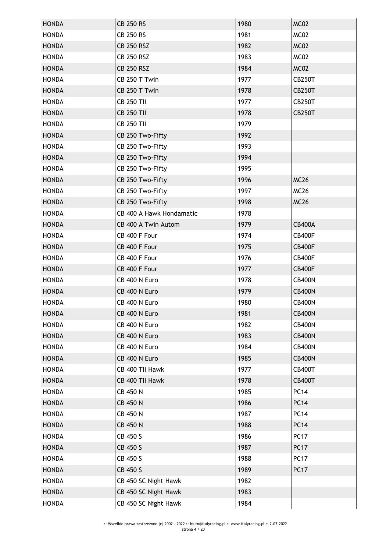| <b>HONDA</b> | <b>CB 250 RS</b>         | 1980 | MC02          |
|--------------|--------------------------|------|---------------|
| <b>HONDA</b> | <b>CB 250 RS</b>         | 1981 | MC02          |
| <b>HONDA</b> | <b>CB 250 RSZ</b>        | 1982 | MC02          |
| <b>HONDA</b> | <b>CB 250 RSZ</b>        | 1983 | MC02          |
| <b>HONDA</b> | <b>CB 250 RSZ</b>        | 1984 | MC02          |
| <b>HONDA</b> | CB 250 T Twin            | 1977 | <b>CB250T</b> |
| <b>HONDA</b> | CB 250 T Twin            | 1978 | <b>CB250T</b> |
| <b>HONDA</b> | <b>CB 250 TII</b>        | 1977 | <b>CB250T</b> |
| <b>HONDA</b> | <b>CB 250 TII</b>        | 1978 | <b>CB250T</b> |
| <b>HONDA</b> | <b>CB 250 TII</b>        | 1979 |               |
| <b>HONDA</b> | CB 250 Two-Fifty         | 1992 |               |
| <b>HONDA</b> | CB 250 Two-Fifty         | 1993 |               |
| <b>HONDA</b> | CB 250 Two-Fifty         | 1994 |               |
| <b>HONDA</b> | CB 250 Two-Fifty         | 1995 |               |
| <b>HONDA</b> | CB 250 Two-Fifty         | 1996 | <b>MC26</b>   |
| <b>HONDA</b> | CB 250 Two-Fifty         | 1997 | <b>MC26</b>   |
| <b>HONDA</b> | CB 250 Two-Fifty         | 1998 | <b>MC26</b>   |
| <b>HONDA</b> | CB 400 A Hawk Hondamatic | 1978 |               |
| <b>HONDA</b> | CB 400 A Twin Autom      | 1979 | <b>CB400A</b> |
| <b>HONDA</b> | CB 400 F Four            | 1974 | <b>CB400F</b> |
| <b>HONDA</b> | CB 400 F Four            | 1975 | <b>CB400F</b> |
| <b>HONDA</b> | CB 400 F Four            | 1976 | <b>CB400F</b> |
| <b>HONDA</b> | CB 400 F Four            | 1977 | <b>CB400F</b> |
| <b>HONDA</b> | CB 400 N Euro            | 1978 | <b>CB400N</b> |
| <b>HONDA</b> | CB 400 N Euro            | 1979 | <b>CB400N</b> |
| <b>HONDA</b> | CB 400 N Euro            | 1980 | <b>CB400N</b> |
| <b>HONDA</b> | CB 400 N Euro            | 1981 | <b>CB400N</b> |
| <b>HONDA</b> | CB 400 N Euro            | 1982 | <b>CB400N</b> |
| <b>HONDA</b> | CB 400 N Euro            | 1983 | <b>CB400N</b> |
| <b>HONDA</b> | CB 400 N Euro            | 1984 | <b>CB400N</b> |
| <b>HONDA</b> | CB 400 N Euro            | 1985 | <b>CB400N</b> |
| <b>HONDA</b> | CB 400 TII Hawk          | 1977 | <b>CB400T</b> |
| <b>HONDA</b> | CB 400 TII Hawk          | 1978 | <b>CB400T</b> |
| <b>HONDA</b> | <b>CB 450 N</b>          | 1985 | <b>PC14</b>   |
| <b>HONDA</b> | <b>CB 450 N</b>          | 1986 | <b>PC14</b>   |
| <b>HONDA</b> | <b>CB 450 N</b>          | 1987 | <b>PC14</b>   |
| <b>HONDA</b> | <b>CB 450 N</b>          | 1988 | <b>PC14</b>   |
| <b>HONDA</b> | CB 450 S                 | 1986 | <b>PC17</b>   |
| <b>HONDA</b> | CB 450 S                 | 1987 | <b>PC17</b>   |
| <b>HONDA</b> | CB 450 S                 | 1988 | <b>PC17</b>   |
| <b>HONDA</b> | CB 450 S                 | 1989 | <b>PC17</b>   |
| <b>HONDA</b> | CB 450 SC Night Hawk     | 1982 |               |
| <b>HONDA</b> | CB 450 SC Night Hawk     | 1983 |               |
| <b>HONDA</b> | CB 450 SC Night Hawk     | 1984 |               |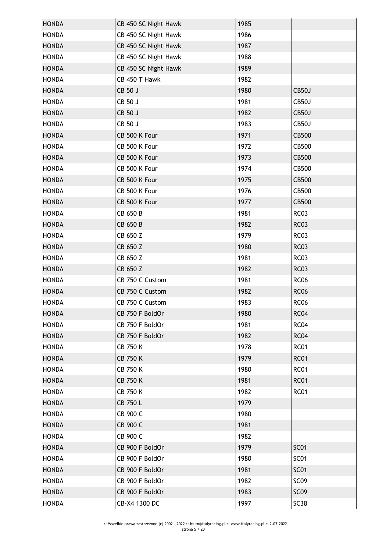| <b>HONDA</b> | CB 450 SC Night Hawk | 1985 |                  |
|--------------|----------------------|------|------------------|
| <b>HONDA</b> | CB 450 SC Night Hawk | 1986 |                  |
| <b>HONDA</b> | CB 450 SC Night Hawk | 1987 |                  |
| <b>HONDA</b> | CB 450 SC Night Hawk | 1988 |                  |
| <b>HONDA</b> | CB 450 SC Night Hawk | 1989 |                  |
| <b>HONDA</b> | CB 450 T Hawk        | 1982 |                  |
| <b>HONDA</b> | CB 50 J              | 1980 | CB50J            |
| <b>HONDA</b> | CB 50 J              | 1981 | CB50J            |
| <b>HONDA</b> | CB 50 J              | 1982 | CB50J            |
| <b>HONDA</b> | CB 50 J              | 1983 | CB50J            |
| <b>HONDA</b> | CB 500 K Four        | 1971 | CB500            |
| <b>HONDA</b> | CB 500 K Four        | 1972 | CB500            |
| <b>HONDA</b> | CB 500 K Four        | 1973 | CB500            |
| <b>HONDA</b> | CB 500 K Four        | 1974 | CB500            |
| <b>HONDA</b> | CB 500 K Four        | 1975 | CB500            |
| <b>HONDA</b> | CB 500 K Four        | 1976 | CB500            |
| <b>HONDA</b> | CB 500 K Four        | 1977 | CB500            |
| <b>HONDA</b> | CB 650 B             | 1981 | <b>RC03</b>      |
| <b>HONDA</b> | CB 650 B             | 1982 | <b>RC03</b>      |
| <b>HONDA</b> | CB 650 Z             | 1979 | <b>RC03</b>      |
| <b>HONDA</b> | CB 650 Z             | 1980 | <b>RC03</b>      |
| <b>HONDA</b> | CB 650 Z             | 1981 | <b>RC03</b>      |
| <b>HONDA</b> | CB 650 Z             | 1982 | <b>RC03</b>      |
| <b>HONDA</b> | CB 750 C Custom      | 1981 | <b>RC06</b>      |
| <b>HONDA</b> | CB 750 C Custom      | 1982 | <b>RC06</b>      |
| <b>HONDA</b> | CB 750 C Custom      | 1983 | <b>RC06</b>      |
| <b>HONDA</b> | CB 750 F BoldOr      | 1980 | RC <sub>04</sub> |
| <b>HONDA</b> | CB 750 F BoldOr      | 1981 | RC04             |
| <b>HONDA</b> | CB 750 F BoldOr      | 1982 | <b>RC04</b>      |
| <b>HONDA</b> | <b>CB 750 K</b>      | 1978 | <b>RC01</b>      |
| <b>HONDA</b> | <b>CB 750 K</b>      | 1979 | <b>RC01</b>      |
| <b>HONDA</b> | <b>CB 750 K</b>      | 1980 | <b>RC01</b>      |
| <b>HONDA</b> | <b>CB 750 K</b>      | 1981 | <b>RC01</b>      |
| <b>HONDA</b> | <b>CB 750 K</b>      | 1982 | <b>RC01</b>      |
| <b>HONDA</b> | CB 750 L             | 1979 |                  |
| <b>HONDA</b> | CB 900 C             | 1980 |                  |
| <b>HONDA</b> | CB 900 C             | 1981 |                  |
| <b>HONDA</b> | CB 900 C             | 1982 |                  |
| <b>HONDA</b> | CB 900 F BoldOr      | 1979 | <b>SC01</b>      |
| <b>HONDA</b> | CB 900 F BoldOr      | 1980 | <b>SC01</b>      |
| <b>HONDA</b> | CB 900 F BoldOr      | 1981 | <b>SC01</b>      |
| <b>HONDA</b> | CB 900 F BoldOr      | 1982 | SC <sub>09</sub> |
| <b>HONDA</b> | CB 900 F BoldOr      | 1983 | SC <sub>09</sub> |
| <b>HONDA</b> | CB-X4 1300 DC        | 1997 | SC <sub>38</sub> |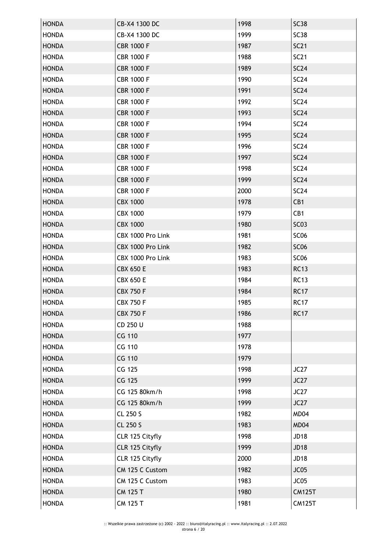| <b>HONDA</b>                 | CB-X4 1300 DC     | 1998 | <b>SC38</b>      |
|------------------------------|-------------------|------|------------------|
| <b>HONDA</b>                 | CB-X4 1300 DC     | 1999 | <b>SC38</b>      |
| <b>HONDA</b>                 | <b>CBR 1000 F</b> | 1987 | <b>SC21</b>      |
| <b>HONDA</b>                 | <b>CBR 1000 F</b> | 1988 | <b>SC21</b>      |
| <b>HONDA</b>                 | <b>CBR 1000 F</b> | 1989 | <b>SC24</b>      |
| <b>HONDA</b>                 | <b>CBR 1000 F</b> | 1990 | SC24             |
| <b>HONDA</b>                 | <b>CBR 1000 F</b> | 1991 | SC24             |
| <b>HONDA</b>                 | <b>CBR 1000 F</b> | 1992 | SC24             |
| <b>HONDA</b>                 | <b>CBR 1000 F</b> | 1993 | <b>SC24</b>      |
| <b>HONDA</b>                 | <b>CBR 1000 F</b> | 1994 | SC24             |
| <b>HONDA</b>                 | <b>CBR 1000 F</b> | 1995 | <b>SC24</b>      |
| <b>HONDA</b>                 | <b>CBR 1000 F</b> | 1996 | SC24             |
| <b>HONDA</b>                 | <b>CBR 1000 F</b> | 1997 | <b>SC24</b>      |
| <b>HONDA</b>                 | <b>CBR 1000 F</b> | 1998 | SC24             |
| <b>HONDA</b>                 | <b>CBR 1000 F</b> | 1999 | SC24             |
| <b>HONDA</b>                 | <b>CBR 1000 F</b> | 2000 | SC24             |
|                              | <b>CBX 1000</b>   | 1978 | CB1              |
| <b>HONDA</b>                 | <b>CBX 1000</b>   | 1979 | CB1              |
| <b>HONDA</b><br><b>HONDA</b> | <b>CBX 1000</b>   | 1980 | <b>SC03</b>      |
|                              |                   |      |                  |
| <b>HONDA</b>                 | CBX 1000 Pro Link | 1981 | SC <sub>06</sub> |
| <b>HONDA</b>                 | CBX 1000 Pro Link | 1982 | SC <sub>06</sub> |
| <b>HONDA</b>                 | CBX 1000 Pro Link | 1983 | SC <sub>06</sub> |
| <b>HONDA</b>                 | <b>CBX 650 E</b>  | 1983 | <b>RC13</b>      |
| <b>HONDA</b>                 | <b>CBX 650 E</b>  | 1984 | <b>RC13</b>      |
| <b>HONDA</b>                 | <b>CBX 750 F</b>  | 1984 | <b>RC17</b>      |
| <b>HONDA</b>                 | <b>CBX 750 F</b>  | 1985 | <b>RC17</b>      |
| <b>HONDA</b>                 | <b>CBX 750 F</b>  | 1986 | <b>RC17</b>      |
| <b>HONDA</b>                 | CD 250 U          | 1988 |                  |
| <b>HONDA</b>                 | <b>CG 110</b>     | 1977 |                  |
| <b>HONDA</b>                 | CG 110            | 1978 |                  |
| <b>HONDA</b>                 | <b>CG 110</b>     | 1979 |                  |
| <b>HONDA</b>                 | CG 125            | 1998 | JC27             |
| <b>HONDA</b>                 | CG 125            | 1999 | JC27             |
| <b>HONDA</b>                 | CG 125 80km/h     | 1998 | JC27             |
| <b>HONDA</b>                 | CG 125 80km/h     | 1999 | JC27             |
| <b>HONDA</b>                 | CL 250 S          | 1982 | MD04             |
| <b>HONDA</b>                 | CL 250 S          | 1983 | MD04             |
| <b>HONDA</b>                 | CLR 125 Cityfly   | 1998 | JD18             |
| <b>HONDA</b>                 | CLR 125 Cityfly   | 1999 | <b>JD18</b>      |
| <b>HONDA</b>                 | CLR 125 Cityfly   | 2000 | <b>JD18</b>      |
| <b>HONDA</b>                 | CM 125 C Custom   | 1982 | JC05             |
| <b>HONDA</b>                 | CM 125 C Custom   | 1983 | JC05             |
| <b>HONDA</b>                 | <b>CM 125 T</b>   | 1980 | <b>CM125T</b>    |
| <b>HONDA</b>                 | CM 125 T          | 1981 | <b>CM125T</b>    |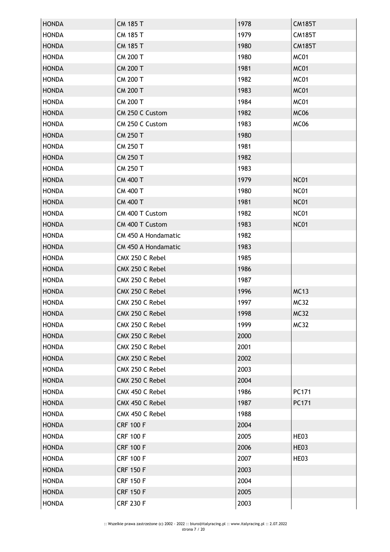| <b>HONDA</b> | <b>CM 185 T</b>            | 1978 | <b>CM185T</b> |
|--------------|----------------------------|------|---------------|
| <b>HONDA</b> | <b>CM 185 T</b>            | 1979 | <b>CM185T</b> |
| <b>HONDA</b> | <b>CM 185 T</b>            | 1980 | <b>CM185T</b> |
| <b>HONDA</b> | <b>CM 200 T</b>            | 1980 | MC01          |
| <b>HONDA</b> | <b>CM 200 T</b>            | 1981 | MC01          |
| <b>HONDA</b> | <b>CM 200 T</b>            | 1982 | MC01          |
| <b>HONDA</b> | <b>CM 200 T</b>            | 1983 | MC01          |
| <b>HONDA</b> | <b>CM 200 T</b>            | 1984 | MC01          |
| <b>HONDA</b> | CM 250 C Custom            | 1982 | MC06          |
| <b>HONDA</b> | CM 250 C Custom            | 1983 | MC06          |
| <b>HONDA</b> | <b>CM 250 T</b>            | 1980 |               |
| <b>HONDA</b> | <b>CM 250 T</b>            | 1981 |               |
| <b>HONDA</b> | <b>CM 250 T</b>            | 1982 |               |
| <b>HONDA</b> | <b>CM 250 T</b>            | 1983 |               |
| <b>HONDA</b> | <b>CM 400 T</b>            | 1979 | <b>NC01</b>   |
| <b>HONDA</b> | <b>CM 400 T</b>            | 1980 | <b>NC01</b>   |
| <b>HONDA</b> | <b>CM 400 T</b>            | 1981 | <b>NC01</b>   |
| <b>HONDA</b> | CM 400 T Custom            | 1982 | <b>NC01</b>   |
| <b>HONDA</b> | CM 400 T Custom            | 1983 | <b>NC01</b>   |
| <b>HONDA</b> | <b>CM 450 A Hondamatic</b> | 1982 |               |
| <b>HONDA</b> | <b>CM 450 A Hondamatic</b> | 1983 |               |
| <b>HONDA</b> | CMX 250 C Rebel            | 1985 |               |
| <b>HONDA</b> | CMX 250 C Rebel            | 1986 |               |
| <b>HONDA</b> | CMX 250 C Rebel            | 1987 |               |
| <b>HONDA</b> | CMX 250 C Rebel            | 1996 | <b>MC13</b>   |
| <b>HONDA</b> | CMX 250 C Rebel            | 1997 | <b>MC32</b>   |
| <b>HONDA</b> | CMX 250 C Rebel            | 1998 | <b>MC32</b>   |
| <b>HONDA</b> | CMX 250 C Rebel            | 1999 | <b>MC32</b>   |
| <b>HONDA</b> | CMX 250 C Rebel            | 2000 |               |
| <b>HONDA</b> | CMX 250 C Rebel            | 2001 |               |
| <b>HONDA</b> | CMX 250 C Rebel            | 2002 |               |
| <b>HONDA</b> | CMX 250 C Rebel            | 2003 |               |
| <b>HONDA</b> | CMX 250 C Rebel            | 2004 |               |
| <b>HONDA</b> | CMX 450 C Rebel            | 1986 | PC171         |
| <b>HONDA</b> | CMX 450 C Rebel            | 1987 | PC171         |
| <b>HONDA</b> | CMX 450 C Rebel            | 1988 |               |
| <b>HONDA</b> | <b>CRF 100 F</b>           | 2004 |               |
| <b>HONDA</b> | <b>CRF 100 F</b>           | 2005 | HE03          |
| <b>HONDA</b> | <b>CRF 100 F</b>           | 2006 | HE03          |
| <b>HONDA</b> | <b>CRF 100 F</b>           | 2007 | HE03          |
| <b>HONDA</b> | <b>CRF 150 F</b>           | 2003 |               |
| <b>HONDA</b> | <b>CRF 150 F</b>           | 2004 |               |
| <b>HONDA</b> | <b>CRF 150 F</b>           | 2005 |               |
| <b>HONDA</b> | <b>CRF 230 F</b>           | 2003 |               |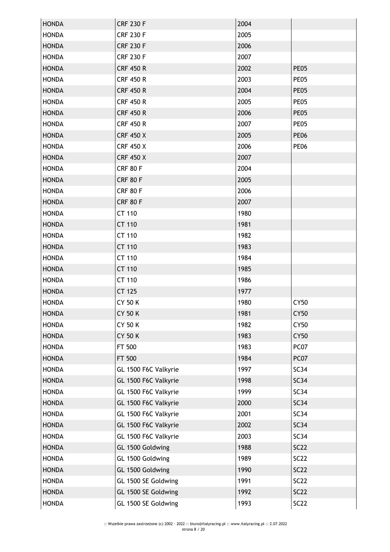| <b>HONDA</b> | <b>CRF 230 F</b>     | 2004 |             |
|--------------|----------------------|------|-------------|
| <b>HONDA</b> | <b>CRF 230 F</b>     | 2005 |             |
| <b>HONDA</b> | <b>CRF 230 F</b>     | 2006 |             |
| <b>HONDA</b> | <b>CRF 230 F</b>     | 2007 |             |
| <b>HONDA</b> | <b>CRF 450 R</b>     | 2002 | <b>PE05</b> |
| <b>HONDA</b> | <b>CRF 450 R</b>     | 2003 | <b>PE05</b> |
| <b>HONDA</b> | <b>CRF 450 R</b>     | 2004 | <b>PE05</b> |
| <b>HONDA</b> | <b>CRF 450 R</b>     | 2005 | PE05        |
| <b>HONDA</b> | <b>CRF 450 R</b>     | 2006 | <b>PE05</b> |
| <b>HONDA</b> | <b>CRF 450 R</b>     | 2007 | PE05        |
| <b>HONDA</b> | <b>CRF 450 X</b>     | 2005 | <b>PE06</b> |
| <b>HONDA</b> | <b>CRF 450 X</b>     | 2006 | <b>PE06</b> |
| <b>HONDA</b> | <b>CRF 450 X</b>     | 2007 |             |
| <b>HONDA</b> | <b>CRF 80 F</b>      | 2004 |             |
| <b>HONDA</b> | <b>CRF 80 F</b>      | 2005 |             |
| <b>HONDA</b> | <b>CRF 80 F</b>      | 2006 |             |
| <b>HONDA</b> | <b>CRF 80 F</b>      | 2007 |             |
| <b>HONDA</b> | CT 110               | 1980 |             |
| <b>HONDA</b> | CT 110               | 1981 |             |
| <b>HONDA</b> | CT 110               | 1982 |             |
| <b>HONDA</b> | CT 110               | 1983 |             |
| <b>HONDA</b> | CT 110               | 1984 |             |
| <b>HONDA</b> | CT 110               | 1985 |             |
| <b>HONDA</b> | CT 110               | 1986 |             |
| <b>HONDA</b> | CT 125               | 1977 |             |
| <b>HONDA</b> | <b>CY 50 K</b>       | 1980 | <b>CY50</b> |
| <b>HONDA</b> | <b>CY 50 K</b>       | 1981 | <b>CY50</b> |
| <b>HONDA</b> | CY 50 K              | 1982 | CY50        |
| <b>HONDA</b> | <b>CY 50 K</b>       | 1983 | <b>CY50</b> |
| <b>HONDA</b> | FT 500               | 1983 | PC07        |
| <b>HONDA</b> | FT 500               | 1984 | PC07        |
| <b>HONDA</b> | GL 1500 F6C Valkyrie | 1997 | SC34        |
| <b>HONDA</b> | GL 1500 F6C Valkyrie | 1998 | SC34        |
| <b>HONDA</b> | GL 1500 F6C Valkyrie | 1999 | SC34        |
| <b>HONDA</b> | GL 1500 F6C Valkyrie | 2000 | <b>SC34</b> |
| <b>HONDA</b> | GL 1500 F6C Valkyrie | 2001 | SC34        |
| <b>HONDA</b> | GL 1500 F6C Valkyrie | 2002 | SC34        |
| <b>HONDA</b> | GL 1500 F6C Valkyrie | 2003 | SC34        |
|              |                      | 1988 | <b>SC22</b> |
| <b>HONDA</b> | GL 1500 Goldwing     |      |             |
| <b>HONDA</b> | GL 1500 Goldwing     | 1989 | <b>SC22</b> |
| <b>HONDA</b> | GL 1500 Goldwing     | 1990 | <b>SC22</b> |
| <b>HONDA</b> | GL 1500 SE Goldwing  | 1991 | <b>SC22</b> |
| <b>HONDA</b> | GL 1500 SE Goldwing  | 1992 | <b>SC22</b> |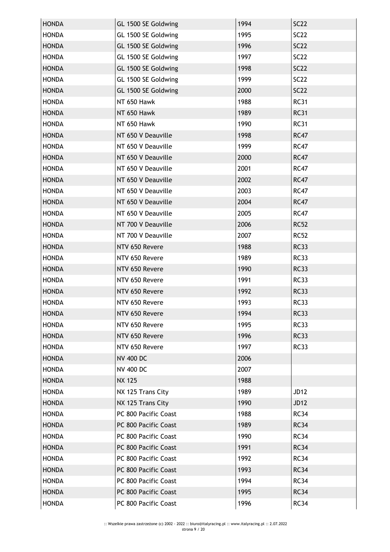| <b>HONDA</b> | GL 1500 SE Goldwing  | 1994 | <b>SC22</b> |
|--------------|----------------------|------|-------------|
| <b>HONDA</b> | GL 1500 SE Goldwing  | 1995 | <b>SC22</b> |
| <b>HONDA</b> | GL 1500 SE Goldwing  | 1996 | <b>SC22</b> |
| <b>HONDA</b> | GL 1500 SE Goldwing  | 1997 | <b>SC22</b> |
| <b>HONDA</b> | GL 1500 SE Goldwing  | 1998 | <b>SC22</b> |
| <b>HONDA</b> | GL 1500 SE Goldwing  | 1999 | <b>SC22</b> |
| <b>HONDA</b> | GL 1500 SE Goldwing  | 2000 | <b>SC22</b> |
| <b>HONDA</b> | NT 650 Hawk          | 1988 | <b>RC31</b> |
| <b>HONDA</b> | NT 650 Hawk          | 1989 | <b>RC31</b> |
| <b>HONDA</b> | NT 650 Hawk          | 1990 | <b>RC31</b> |
| <b>HONDA</b> | NT 650 V Deauville   | 1998 | <b>RC47</b> |
| <b>HONDA</b> | NT 650 V Deauville   | 1999 | <b>RC47</b> |
| <b>HONDA</b> | NT 650 V Deauville   | 2000 | <b>RC47</b> |
| <b>HONDA</b> | NT 650 V Deauville   | 2001 | <b>RC47</b> |
| <b>HONDA</b> | NT 650 V Deauville   | 2002 | <b>RC47</b> |
| <b>HONDA</b> | NT 650 V Deauville   | 2003 | <b>RC47</b> |
| <b>HONDA</b> | NT 650 V Deauville   | 2004 | <b>RC47</b> |
| <b>HONDA</b> | NT 650 V Deauville   | 2005 | <b>RC47</b> |
| <b>HONDA</b> | NT 700 V Deauville   | 2006 | <b>RC52</b> |
| <b>HONDA</b> | NT 700 V Deauville   | 2007 | <b>RC52</b> |
| <b>HONDA</b> | NTV 650 Revere       | 1988 | <b>RC33</b> |
| <b>HONDA</b> | NTV 650 Revere       | 1989 | <b>RC33</b> |
| <b>HONDA</b> | NTV 650 Revere       | 1990 | <b>RC33</b> |
| <b>HONDA</b> | NTV 650 Revere       | 1991 | <b>RC33</b> |
| <b>HONDA</b> | NTV 650 Revere       | 1992 | <b>RC33</b> |
| <b>HONDA</b> | NTV 650 Revere       | 1993 | <b>RC33</b> |
| <b>HONDA</b> | NTV 650 Revere       | 1994 | <b>RC33</b> |
| <b>HONDA</b> | NTV 650 Revere       | 1995 | <b>RC33</b> |
| <b>HONDA</b> | NTV 650 Revere       | 1996 | <b>RC33</b> |
| <b>HONDA</b> | NTV 650 Revere       | 1997 | <b>RC33</b> |
| <b>HONDA</b> | <b>NV 400 DC</b>     | 2006 |             |
| <b>HONDA</b> | <b>NV 400 DC</b>     | 2007 |             |
| <b>HONDA</b> | <b>NX 125</b>        | 1988 |             |
| <b>HONDA</b> | NX 125 Trans City    | 1989 | <b>JD12</b> |
| <b>HONDA</b> | NX 125 Trans City    | 1990 | <b>JD12</b> |
| <b>HONDA</b> | PC 800 Pacific Coast | 1988 | <b>RC34</b> |
| <b>HONDA</b> | PC 800 Pacific Coast | 1989 | <b>RC34</b> |
| <b>HONDA</b> | PC 800 Pacific Coast | 1990 | <b>RC34</b> |
| <b>HONDA</b> | PC 800 Pacific Coast | 1991 | <b>RC34</b> |
| <b>HONDA</b> | PC 800 Pacific Coast | 1992 | <b>RC34</b> |
| <b>HONDA</b> | PC 800 Pacific Coast | 1993 | <b>RC34</b> |
| <b>HONDA</b> | PC 800 Pacific Coast | 1994 | <b>RC34</b> |
| <b>HONDA</b> | PC 800 Pacific Coast | 1995 | <b>RC34</b> |
| <b>HONDA</b> | PC 800 Pacific Coast | 1996 | <b>RC34</b> |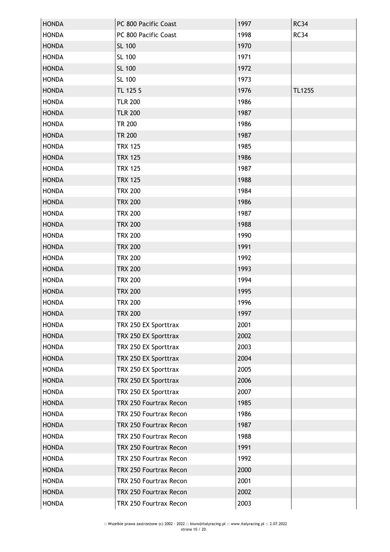| <b>HONDA</b> | PC 800 Pacific Coast   | 1997 | <b>RC34</b>   |
|--------------|------------------------|------|---------------|
| <b>HONDA</b> | PC 800 Pacific Coast   | 1998 | <b>RC34</b>   |
| <b>HONDA</b> | SL 100                 | 1970 |               |
| <b>HONDA</b> | SL 100                 | 1971 |               |
| <b>HONDA</b> | SL 100                 | 1972 |               |
| <b>HONDA</b> | SL 100                 | 1973 |               |
| <b>HONDA</b> | TL 125 S               | 1976 | <b>TL125S</b> |
| <b>HONDA</b> | <b>TLR 200</b>         | 1986 |               |
| <b>HONDA</b> | <b>TLR 200</b>         | 1987 |               |
| <b>HONDA</b> | <b>TR 200</b>          | 1986 |               |
| <b>HONDA</b> | <b>TR 200</b>          | 1987 |               |
| <b>HONDA</b> | <b>TRX 125</b>         | 1985 |               |
| <b>HONDA</b> | <b>TRX 125</b>         | 1986 |               |
| <b>HONDA</b> | <b>TRX 125</b>         | 1987 |               |
| <b>HONDA</b> | <b>TRX 125</b>         | 1988 |               |
| <b>HONDA</b> | <b>TRX 200</b>         | 1984 |               |
| <b>HONDA</b> | <b>TRX 200</b>         | 1986 |               |
| <b>HONDA</b> | <b>TRX 200</b>         | 1987 |               |
| <b>HONDA</b> | <b>TRX 200</b>         | 1988 |               |
| <b>HONDA</b> | <b>TRX 200</b>         | 1990 |               |
| <b>HONDA</b> | <b>TRX 200</b>         | 1991 |               |
| <b>HONDA</b> | <b>TRX 200</b>         | 1992 |               |
| <b>HONDA</b> | <b>TRX 200</b>         | 1993 |               |
| <b>HONDA</b> | <b>TRX 200</b>         | 1994 |               |
| <b>HONDA</b> | <b>TRX 200</b>         | 1995 |               |
| <b>HONDA</b> | <b>TRX 200</b>         | 1996 |               |
| <b>HONDA</b> | TRX 200                | 1997 |               |
| <b>HONDA</b> | TRX 250 EX Sporttrax   | 2001 |               |
| <b>HONDA</b> | TRX 250 EX Sporttrax   | 2002 |               |
| <b>HONDA</b> | TRX 250 EX Sporttrax   | 2003 |               |
| <b>HONDA</b> | TRX 250 EX Sporttrax   | 2004 |               |
| <b>HONDA</b> | TRX 250 EX Sporttrax   | 2005 |               |
| <b>HONDA</b> | TRX 250 EX Sporttrax   | 2006 |               |
| <b>HONDA</b> | TRX 250 EX Sporttrax   | 2007 |               |
| <b>HONDA</b> | TRX 250 Fourtrax Recon | 1985 |               |
| <b>HONDA</b> | TRX 250 Fourtrax Recon | 1986 |               |
| <b>HONDA</b> | TRX 250 Fourtrax Recon | 1987 |               |
| <b>HONDA</b> | TRX 250 Fourtrax Recon | 1988 |               |
| <b>HONDA</b> | TRX 250 Fourtrax Recon | 1991 |               |
| <b>HONDA</b> | TRX 250 Fourtrax Recon | 1992 |               |
| <b>HONDA</b> | TRX 250 Fourtrax Recon | 2000 |               |
| <b>HONDA</b> | TRX 250 Fourtrax Recon | 2001 |               |
| <b>HONDA</b> | TRX 250 Fourtrax Recon | 2002 |               |
| <b>HONDA</b> | TRX 250 Fourtrax Recon | 2003 |               |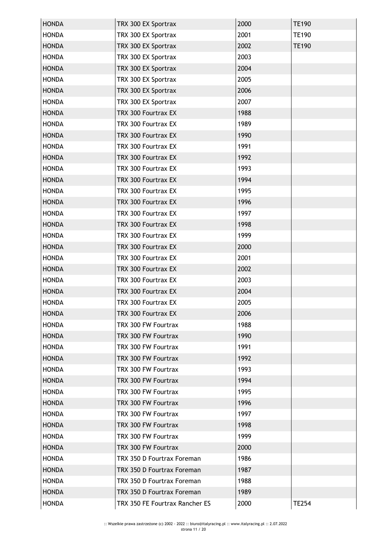| <b>HONDA</b> | TRX 300 EX Sportrax            | 2000 | <b>TE190</b> |
|--------------|--------------------------------|------|--------------|
| <b>HONDA</b> | TRX 300 EX Sportrax            | 2001 | <b>TE190</b> |
| <b>HONDA</b> | TRX 300 EX Sportrax            | 2002 | <b>TE190</b> |
| <b>HONDA</b> | TRX 300 EX Sportrax            | 2003 |              |
| <b>HONDA</b> | TRX 300 EX Sportrax            | 2004 |              |
| <b>HONDA</b> | TRX 300 EX Sportrax            | 2005 |              |
| <b>HONDA</b> | TRX 300 EX Sportrax            | 2006 |              |
| <b>HONDA</b> | TRX 300 EX Sportrax            | 2007 |              |
| <b>HONDA</b> | TRX 300 Fourtrax EX            | 1988 |              |
| <b>HONDA</b> | TRX 300 Fourtrax EX            | 1989 |              |
| <b>HONDA</b> | TRX 300 Fourtrax EX            | 1990 |              |
| <b>HONDA</b> | TRX 300 Fourtrax EX            | 1991 |              |
| <b>HONDA</b> | TRX 300 Fourtrax EX            | 1992 |              |
| <b>HONDA</b> | TRX 300 Fourtrax EX            | 1993 |              |
| <b>HONDA</b> | TRX 300 Fourtrax EX            | 1994 |              |
| <b>HONDA</b> | TRX 300 Fourtrax EX            | 1995 |              |
| <b>HONDA</b> | TRX 300 Fourtrax EX            | 1996 |              |
| <b>HONDA</b> | TRX 300 Fourtrax EX            | 1997 |              |
| <b>HONDA</b> | TRX 300 Fourtrax EX            | 1998 |              |
| <b>HONDA</b> | TRX 300 Fourtrax EX            | 1999 |              |
| <b>HONDA</b> | TRX 300 Fourtrax EX            | 2000 |              |
| <b>HONDA</b> | TRX 300 Fourtrax EX            | 2001 |              |
| <b>HONDA</b> | TRX 300 Fourtrax EX            | 2002 |              |
| <b>HONDA</b> | TRX 300 Fourtrax EX            | 2003 |              |
| <b>HONDA</b> | TRX 300 Fourtrax EX            | 2004 |              |
| <b>HONDA</b> | TRX 300 Fourtrax EX            | 2005 |              |
| <b>HONDA</b> | TRX 300 Fourtrax EX            | 2006 |              |
| <b>HONDA</b> | TRX 300 FW Fourtrax            | 1988 |              |
| <b>HONDA</b> | TRX 300 FW Fourtrax            | 1990 |              |
| <b>HONDA</b> | TRX 300 FW Fourtrax            | 1991 |              |
| <b>HONDA</b> | TRX 300 FW Fourtrax            | 1992 |              |
| <b>HONDA</b> | TRX 300 FW Fourtrax            | 1993 |              |
| <b>HONDA</b> | TRX 300 FW Fourtrax            | 1994 |              |
| <b>HONDA</b> | TRX 300 FW Fourtrax            | 1995 |              |
| <b>HONDA</b> | TRX 300 FW Fourtrax            | 1996 |              |
| <b>HONDA</b> | TRX 300 FW Fourtrax            | 1997 |              |
| <b>HONDA</b> | TRX 300 FW Fourtrax            | 1998 |              |
| <b>HONDA</b> | TRX 300 FW Fourtrax            | 1999 |              |
| <b>HONDA</b> | TRX 300 FW Fourtrax            | 2000 |              |
| <b>HONDA</b> | TRX 350 D Fourtrax Foreman     | 1986 |              |
| <b>HONDA</b> | TRX 350 D Fourtrax Foreman     | 1987 |              |
| <b>HONDA</b> | TRX 350 D Fourtrax Foreman     | 1988 |              |
| <b>HONDA</b> | TRX 350 D Fourtrax Foreman     | 1989 |              |
| <b>HONDA</b> | TRX 350 FE Fourtrax Rancher ES | 2000 | <b>TE254</b> |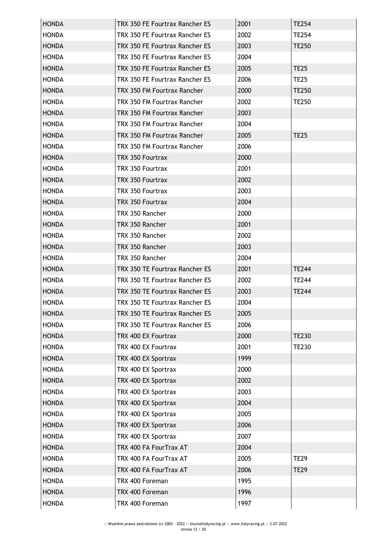| <b>HONDA</b> | TRX 350 FE Fourtrax Rancher ES | 2001 | <b>TE254</b> |
|--------------|--------------------------------|------|--------------|
| <b>HONDA</b> | TRX 350 FE Fourtrax Rancher ES | 2002 | <b>TE254</b> |
| <b>HONDA</b> | TRX 350 FE Fourtrax Rancher ES | 2003 | TE250        |
| <b>HONDA</b> | TRX 350 FE Fourtrax Rancher ES | 2004 |              |
| <b>HONDA</b> | TRX 350 FE Fourtrax Rancher ES | 2005 | <b>TE25</b>  |
| <b>HONDA</b> | TRX 350 FE Fourtrax Rancher ES | 2006 | <b>TE25</b>  |
| <b>HONDA</b> | TRX 350 FM Fourtrax Rancher    | 2000 | <b>TE250</b> |
| <b>HONDA</b> | TRX 350 FM Fourtrax Rancher    | 2002 | <b>TE250</b> |
| <b>HONDA</b> | TRX 350 FM Fourtrax Rancher    | 2003 |              |
| <b>HONDA</b> | TRX 350 FM Fourtrax Rancher    | 2004 |              |
| <b>HONDA</b> | TRX 350 FM Fourtrax Rancher    | 2005 | <b>TE25</b>  |
| <b>HONDA</b> | TRX 350 FM Fourtrax Rancher    | 2006 |              |
| <b>HONDA</b> | TRX 350 Fourtrax               | 2000 |              |
| <b>HONDA</b> | TRX 350 Fourtrax               | 2001 |              |
| <b>HONDA</b> | TRX 350 Fourtrax               | 2002 |              |
| <b>HONDA</b> | TRX 350 Fourtrax               | 2003 |              |
| <b>HONDA</b> | TRX 350 Fourtrax               | 2004 |              |
| <b>HONDA</b> | TRX 350 Rancher                | 2000 |              |
| <b>HONDA</b> | TRX 350 Rancher                | 2001 |              |
| <b>HONDA</b> | TRX 350 Rancher                | 2002 |              |
| <b>HONDA</b> | TRX 350 Rancher                | 2003 |              |
| <b>HONDA</b> | TRX 350 Rancher                | 2004 |              |
| <b>HONDA</b> | TRX 350 TE Fourtrax Rancher ES | 2001 | <b>TE244</b> |
| <b>HONDA</b> | TRX 350 TE Fourtrax Rancher ES | 2002 | TE244        |
| <b>HONDA</b> | TRX 350 TE Fourtrax Rancher ES | 2003 | <b>TE244</b> |
| <b>HONDA</b> | TRX 350 TE Fourtrax Rancher ES | 2004 |              |
| <b>HONDA</b> | TRX 350 TE Fourtrax Rancher ES | 2005 |              |
| <b>HONDA</b> | TRX 350 TE Fourtrax Rancher ES | 2006 |              |
| <b>HONDA</b> | TRX 400 EX Fourtrax            | 2000 | <b>TE230</b> |
| <b>HONDA</b> | TRX 400 EX Fourtrax            | 2001 | <b>TE230</b> |
| <b>HONDA</b> | TRX 400 EX Sportrax            | 1999 |              |
| <b>HONDA</b> | TRX 400 EX Sportrax            | 2000 |              |
| <b>HONDA</b> | TRX 400 EX Sportrax            | 2002 |              |
| <b>HONDA</b> | TRX 400 EX Sportrax            | 2003 |              |
| <b>HONDA</b> | TRX 400 EX Sportrax            | 2004 |              |
| <b>HONDA</b> | TRX 400 EX Sportrax            | 2005 |              |
| <b>HONDA</b> | TRX 400 EX Sportrax            | 2006 |              |
| <b>HONDA</b> | TRX 400 EX Sportrax            | 2007 |              |
| <b>HONDA</b> | TRX 400 FA FourTrax AT         | 2004 |              |
| <b>HONDA</b> | TRX 400 FA FourTrax AT         | 2005 | <b>TE29</b>  |
| <b>HONDA</b> | TRX 400 FA FourTrax AT         | 2006 | <b>TE29</b>  |
| <b>HONDA</b> | TRX 400 Foreman                | 1995 |              |
| <b>HONDA</b> | TRX 400 Foreman                | 1996 |              |
| <b>HONDA</b> | TRX 400 Foreman                | 1997 |              |
|              |                                |      |              |
|              |                                |      |              |
|              |                                |      |              |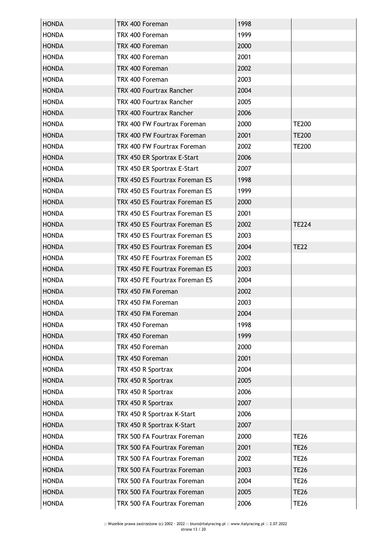| <b>HONDA</b> | TRX 400 Foreman                | 1998 |              |
|--------------|--------------------------------|------|--------------|
| <b>HONDA</b> | TRX 400 Foreman                | 1999 |              |
| <b>HONDA</b> | TRX 400 Foreman                | 2000 |              |
| <b>HONDA</b> | TRX 400 Foreman                | 2001 |              |
| <b>HONDA</b> | TRX 400 Foreman                | 2002 |              |
| <b>HONDA</b> | TRX 400 Foreman                | 2003 |              |
| <b>HONDA</b> | TRX 400 Fourtrax Rancher       | 2004 |              |
| <b>HONDA</b> | TRX 400 Fourtrax Rancher       | 2005 |              |
| <b>HONDA</b> | TRX 400 Fourtrax Rancher       | 2006 |              |
| <b>HONDA</b> | TRX 400 FW Fourtrax Foreman    | 2000 | <b>TE200</b> |
| <b>HONDA</b> | TRX 400 FW Fourtrax Foreman    | 2001 | <b>TE200</b> |
| <b>HONDA</b> | TRX 400 FW Fourtrax Foreman    | 2002 | <b>TE200</b> |
| <b>HONDA</b> | TRX 450 ER Sportrax E-Start    | 2006 |              |
| <b>HONDA</b> | TRX 450 ER Sportrax E-Start    | 2007 |              |
| <b>HONDA</b> | TRX 450 ES Fourtrax Foreman ES | 1998 |              |
| <b>HONDA</b> | TRX 450 ES Fourtrax Foreman ES | 1999 |              |
| <b>HONDA</b> | TRX 450 ES Fourtrax Foreman ES | 2000 |              |
| <b>HONDA</b> | TRX 450 ES Fourtrax Foreman ES | 2001 |              |
| <b>HONDA</b> | TRX 450 ES Fourtrax Foreman ES | 2002 | <b>TE224</b> |
| <b>HONDA</b> | TRX 450 ES Fourtrax Foreman ES | 2003 |              |
| <b>HONDA</b> | TRX 450 ES Fourtrax Foreman ES | 2004 | <b>TE22</b>  |
| <b>HONDA</b> | TRX 450 FE Fourtrax Foreman ES | 2002 |              |
| <b>HONDA</b> | TRX 450 FE Fourtrax Foreman ES | 2003 |              |
| <b>HONDA</b> | TRX 450 FE Fourtrax Foreman ES | 2004 |              |
| <b>HONDA</b> | TRX 450 FM Foreman             | 2002 |              |
| <b>HONDA</b> | TRX 450 FM Foreman             | 2003 |              |
| <b>HONDA</b> | TRX 450 FM Foreman             | 2004 |              |
| <b>HONDA</b> | TRX 450 Foreman                | 1998 |              |
| <b>HONDA</b> | TRX 450 Foreman                | 1999 |              |
| <b>HONDA</b> | TRX 450 Foreman                | 2000 |              |
| <b>HONDA</b> | TRX 450 Foreman                | 2001 |              |
| <b>HONDA</b> | TRX 450 R Sportrax             | 2004 |              |
| <b>HONDA</b> | TRX 450 R Sportrax             | 2005 |              |
| <b>HONDA</b> | TRX 450 R Sportrax             | 2006 |              |
| <b>HONDA</b> | TRX 450 R Sportrax             | 2007 |              |
| <b>HONDA</b> | TRX 450 R Sportrax K-Start     | 2006 |              |
| <b>HONDA</b> | TRX 450 R Sportrax K-Start     | 2007 |              |
| <b>HONDA</b> | TRX 500 FA Fourtrax Foreman    | 2000 | <b>TE26</b>  |
| <b>HONDA</b> | TRX 500 FA Fourtrax Foreman    | 2001 | <b>TE26</b>  |
| <b>HONDA</b> | TRX 500 FA Fourtrax Foreman    | 2002 | <b>TE26</b>  |
| <b>HONDA</b> | TRX 500 FA Fourtrax Foreman    | 2003 | <b>TE26</b>  |
| <b>HONDA</b> | TRX 500 FA Fourtrax Foreman    | 2004 | <b>TE26</b>  |
| <b>HONDA</b> | TRX 500 FA Fourtrax Foreman    | 2005 | <b>TE26</b>  |
| <b>HONDA</b> | TRX 500 FA Fourtrax Foreman    | 2006 | <b>TE26</b>  |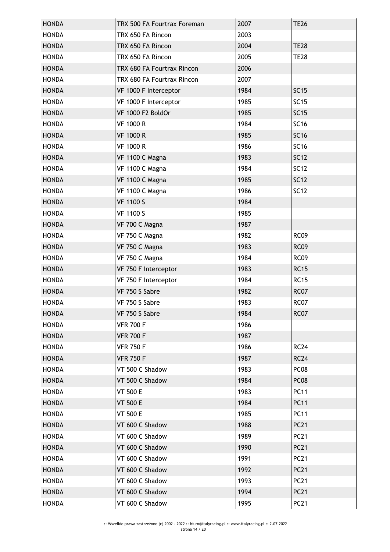| <b>HONDA</b> | TRX 500 FA Fourtrax Foreman | 2007 | <b>TE26</b>      |
|--------------|-----------------------------|------|------------------|
| <b>HONDA</b> | TRX 650 FA Rincon           | 2003 |                  |
| <b>HONDA</b> | TRX 650 FA Rincon           | 2004 | <b>TE28</b>      |
| <b>HONDA</b> | TRX 650 FA Rincon           | 2005 | <b>TE28</b>      |
| <b>HONDA</b> | TRX 680 FA Fourtrax Rincon  | 2006 |                  |
| <b>HONDA</b> | TRX 680 FA Fourtrax Rincon  | 2007 |                  |
| <b>HONDA</b> | VF 1000 F Interceptor       | 1984 | <b>SC15</b>      |
| <b>HONDA</b> | VF 1000 F Interceptor       | 1985 | <b>SC15</b>      |
| <b>HONDA</b> | VF 1000 F2 BoldOr           | 1985 | <b>SC15</b>      |
| <b>HONDA</b> | <b>VF 1000 R</b>            | 1984 | <b>SC16</b>      |
| <b>HONDA</b> | <b>VF 1000 R</b>            | 1985 | <b>SC16</b>      |
| <b>HONDA</b> | <b>VF 1000 R</b>            | 1986 | <b>SC16</b>      |
| <b>HONDA</b> | VF 1100 C Magna             | 1983 | <b>SC12</b>      |
| <b>HONDA</b> | VF 1100 C Magna             | 1984 | <b>SC12</b>      |
| <b>HONDA</b> | VF 1100 C Magna             | 1985 | <b>SC12</b>      |
| <b>HONDA</b> | VF 1100 C Magna             | 1986 | <b>SC12</b>      |
| <b>HONDA</b> | <b>VF 1100 S</b>            | 1984 |                  |
| <b>HONDA</b> | <b>VF 1100 S</b>            | 1985 |                  |
| <b>HONDA</b> | VF 700 C Magna              | 1987 |                  |
| <b>HONDA</b> | VF 750 C Magna              | 1982 | <b>RC09</b>      |
| <b>HONDA</b> | VF 750 C Magna              | 1983 | <b>RC09</b>      |
| <b>HONDA</b> | VF 750 C Magna              | 1984 | <b>RC09</b>      |
| <b>HONDA</b> | VF 750 F Interceptor        | 1983 | <b>RC15</b>      |
| <b>HONDA</b> | VF 750 F Interceptor        | 1984 | <b>RC15</b>      |
| <b>HONDA</b> | VF 750 S Sabre              | 1982 | <b>RC07</b>      |
| <b>HONDA</b> | VF 750 S Sabre              | 1983 | <b>RC07</b>      |
| <b>HONDA</b> | VF 750 S Sabre              | 1984 | RC07             |
| <b>HONDA</b> | <b>VFR 700 F</b>            | 1986 |                  |
| <b>HONDA</b> | <b>VFR 700 F</b>            | 1987 |                  |
| <b>HONDA</b> | <b>VFR 750 F</b>            | 1986 | <b>RC24</b>      |
| <b>HONDA</b> | <b>VFR 750 F</b>            | 1987 | <b>RC24</b>      |
| <b>HONDA</b> | VT 500 C Shadow             | 1983 | PC <sub>08</sub> |
| <b>HONDA</b> | VT 500 C Shadow             | 1984 | PC <sub>08</sub> |
| <b>HONDA</b> | <b>VT 500 E</b>             | 1983 | <b>PC11</b>      |
| <b>HONDA</b> | <b>VT 500 E</b>             | 1984 | <b>PC11</b>      |
| <b>HONDA</b> | <b>VT 500 E</b>             | 1985 | <b>PC11</b>      |
| <b>HONDA</b> | VT 600 C Shadow             | 1988 | <b>PC21</b>      |
| <b>HONDA</b> | VT 600 C Shadow             | 1989 | <b>PC21</b>      |
| <b>HONDA</b> | VT 600 C Shadow             | 1990 | <b>PC21</b>      |
| <b>HONDA</b> | VT 600 C Shadow             | 1991 | <b>PC21</b>      |
| <b>HONDA</b> | VT 600 C Shadow             | 1992 | <b>PC21</b>      |
| <b>HONDA</b> | VT 600 C Shadow             | 1993 | <b>PC21</b>      |
| <b>HONDA</b> | VT 600 C Shadow             | 1994 | <b>PC21</b>      |
| <b>HONDA</b> | VT 600 C Shadow             | 1995 | <b>PC21</b>      |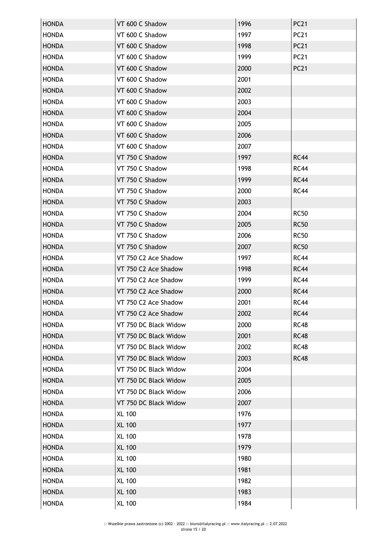| <b>HONDA</b> | VT 600 C Shadow       | 1996 | <b>PC21</b> |
|--------------|-----------------------|------|-------------|
| <b>HONDA</b> | VT 600 C Shadow       | 1997 | <b>PC21</b> |
| <b>HONDA</b> | VT 600 C Shadow       | 1998 | <b>PC21</b> |
| <b>HONDA</b> | VT 600 C Shadow       | 1999 | <b>PC21</b> |
| <b>HONDA</b> | VT 600 C Shadow       | 2000 | <b>PC21</b> |
| <b>HONDA</b> | VT 600 C Shadow       | 2001 |             |
| <b>HONDA</b> | VT 600 C Shadow       | 2002 |             |
| <b>HONDA</b> | VT 600 C Shadow       | 2003 |             |
| <b>HONDA</b> | VT 600 C Shadow       | 2004 |             |
| <b>HONDA</b> | VT 600 C Shadow       | 2005 |             |
| <b>HONDA</b> | VT 600 C Shadow       | 2006 |             |
| <b>HONDA</b> | VT 600 C Shadow       | 2007 |             |
| <b>HONDA</b> | VT 750 C Shadow       | 1997 | <b>RC44</b> |
| <b>HONDA</b> | VT 750 C Shadow       | 1998 | <b>RC44</b> |
| <b>HONDA</b> | VT 750 C Shadow       | 1999 | <b>RC44</b> |
| <b>HONDA</b> | VT 750 C Shadow       | 2000 | <b>RC44</b> |
| <b>HONDA</b> | VT 750 C Shadow       | 2003 |             |
| <b>HONDA</b> | VT 750 C Shadow       | 2004 | <b>RC50</b> |
| <b>HONDA</b> | VT 750 C Shadow       | 2005 | <b>RC50</b> |
| <b>HONDA</b> | VT 750 C Shadow       | 2006 | <b>RC50</b> |
| <b>HONDA</b> | VT 750 C Shadow       | 2007 | <b>RC50</b> |
| <b>HONDA</b> | VT 750 C2 Ace Shadow  | 1997 | <b>RC44</b> |
| <b>HONDA</b> | VT 750 C2 Ace Shadow  | 1998 | <b>RC44</b> |
| <b>HONDA</b> | VT 750 C2 Ace Shadow  | 1999 | <b>RC44</b> |
| <b>HONDA</b> | VT 750 C2 Ace Shadow  | 2000 | <b>RC44</b> |
| <b>HONDA</b> | VT 750 C2 Ace Shadow  | 2001 | <b>RC44</b> |
| <b>HONDA</b> | VT 750 C2 Ace Shadow  | 2002 | <b>RC44</b> |
| <b>HONDA</b> | VT 750 DC Black Widow | 2000 | <b>RC48</b> |
| <b>HONDA</b> | VT 750 DC Black Widow | 2001 | <b>RC48</b> |
| <b>HONDA</b> | VT 750 DC Black Widow | 2002 | <b>RC48</b> |
| <b>HONDA</b> | VT 750 DC Black Widow | 2003 | <b>RC48</b> |
| <b>HONDA</b> | VT 750 DC Black Widow | 2004 |             |
| <b>HONDA</b> | VT 750 DC Black Widow | 2005 |             |
| <b>HONDA</b> | VT 750 DC Black Widow | 2006 |             |
| <b>HONDA</b> | VT 750 DC Black Widow | 2007 |             |
| <b>HONDA</b> | <b>XL 100</b>         | 1976 |             |
| <b>HONDA</b> | <b>XL 100</b>         | 1977 |             |
| <b>HONDA</b> | <b>XL 100</b>         | 1978 |             |
| <b>HONDA</b> | <b>XL 100</b>         | 1979 |             |
| <b>HONDA</b> | <b>XL 100</b>         | 1980 |             |
| <b>HONDA</b> | <b>XL 100</b>         | 1981 |             |
| <b>HONDA</b> | <b>XL 100</b>         | 1982 |             |
| <b>HONDA</b> | <b>XL 100</b>         | 1983 |             |
| <b>HONDA</b> | <b>XL 100</b>         | 1984 |             |
|              |                       |      |             |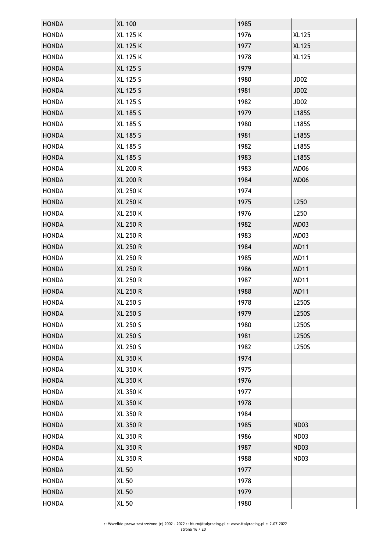| <b>HONDA</b><br><b>HONDA</b><br><b>HONDA</b> |                 |      |              |
|----------------------------------------------|-----------------|------|--------------|
|                                              | <b>XL 100</b>   | 1985 |              |
|                                              | <b>XL 125 K</b> | 1976 | <b>XL125</b> |
|                                              | <b>XL 125 K</b> | 1977 | <b>XL125</b> |
| <b>HONDA</b>                                 | <b>XL 125 K</b> | 1978 | <b>XL125</b> |
| <b>HONDA</b>                                 | <b>XL 125 S</b> | 1979 |              |
| <b>HONDA</b>                                 | <b>XL 125 S</b> | 1980 | JD02         |
| <b>HONDA</b>                                 | <b>XL 125 S</b> | 1981 | JD02         |
| <b>HONDA</b>                                 | XL 125 S        | 1982 | JD02         |
| <b>HONDA</b>                                 | <b>XL 185 S</b> | 1979 | L185S        |
| <b>HONDA</b>                                 | XL 185 S        | 1980 | L185S        |
| <b>HONDA</b>                                 | <b>XL 185 S</b> | 1981 | L185S        |
| <b>HONDA</b>                                 | XL 185 S        | 1982 | L185S        |
| <b>HONDA</b>                                 | <b>XL 185 S</b> | 1983 | L185S        |
| <b>HONDA</b>                                 | <b>XL 200 R</b> | 1983 | MD06         |
| <b>HONDA</b>                                 | <b>XL 200 R</b> | 1984 | MD06         |
| <b>HONDA</b>                                 | XL 250 K        | 1974 |              |
| <b>HONDA</b>                                 | <b>XL 250 K</b> | 1975 | L250         |
| <b>HONDA</b>                                 | <b>XL 250 K</b> | 1976 | L250         |
| <b>HONDA</b>                                 | <b>XL 250 R</b> | 1982 | MD03         |
| <b>HONDA</b>                                 | <b>XL 250 R</b> | 1983 | MD03         |
| <b>HONDA</b>                                 | <b>XL 250 R</b> | 1984 | <b>MD11</b>  |
| <b>HONDA</b>                                 | <b>XL 250 R</b> | 1985 | <b>MD11</b>  |
| <b>HONDA</b>                                 | <b>XL 250 R</b> | 1986 | <b>MD11</b>  |
| <b>HONDA</b>                                 | <b>XL 250 R</b> | 1987 | <b>MD11</b>  |
| <b>HONDA</b>                                 | <b>XL 250 R</b> | 1988 | <b>MD11</b>  |
| <b>HONDA</b>                                 | <b>XL 250 S</b> | 1978 | L250S        |
| <b>HONDA</b>                                 | XL 250 S        | 1979 | L250S        |
| <b>HONDA</b>                                 | XL 250 S        | 1980 | L250S        |
| <b>HONDA</b>                                 | <b>XL 250 S</b> | 1981 | L250S        |
|                                              |                 |      |              |
| <b>HONDA</b>                                 | <b>XL 250 S</b> | 1982 | L250S        |
| <b>HONDA</b>                                 | <b>XL 350 K</b> | 1974 |              |
| <b>HONDA</b>                                 | XL 350 K        | 1975 |              |
| <b>HONDA</b>                                 | <b>XL 350 K</b> | 1976 |              |
| <b>HONDA</b>                                 | XL 350 K        | 1977 |              |
| <b>HONDA</b>                                 | <b>XL 350 K</b> | 1978 |              |
| <b>HONDA</b>                                 | <b>XL 350 R</b> | 1984 |              |
| <b>HONDA</b>                                 | <b>XL 350 R</b> | 1985 | <b>ND03</b>  |
| <b>HONDA</b>                                 | <b>XL 350 R</b> | 1986 | <b>ND03</b>  |
| <b>HONDA</b>                                 | <b>XL 350 R</b> | 1987 | <b>ND03</b>  |
| <b>HONDA</b>                                 | <b>XL 350 R</b> | 1988 | <b>ND03</b>  |
| <b>HONDA</b>                                 | <b>XL 50</b>    | 1977 |              |
| <b>HONDA</b>                                 | <b>XL 50</b>    | 1978 |              |
| <b>HONDA</b>                                 | <b>XL 50</b>    | 1979 |              |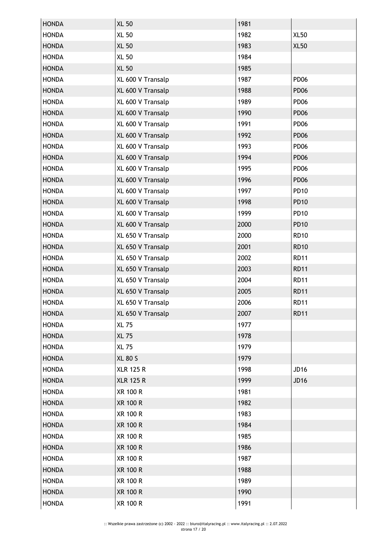| <b>XL 50</b><br><b>HONDA</b><br>1981<br><b>XL 50</b><br><b>XL50</b><br><b>HONDA</b><br>1982<br><b>XL 50</b><br>1983<br><b>XL50</b><br><b>HONDA</b><br><b>XL 50</b><br>1984<br><b>HONDA</b><br><b>XL 50</b><br><b>HONDA</b><br>1985<br>1987<br><b>PD06</b><br><b>HONDA</b><br>XL 600 V Transalp<br><b>HONDA</b><br>XL 600 V Transalp<br>1988<br><b>PD06</b><br>1989<br><b>PD06</b><br><b>HONDA</b><br>XL 600 V Transalp<br>1990<br><b>PD06</b><br><b>HONDA</b><br>XL 600 V Transalp<br>1991<br><b>PD06</b><br><b>HONDA</b><br>XL 600 V Transalp<br><b>HONDA</b><br>XL 600 V Transalp<br>1992<br><b>PD06</b><br>1993<br><b>PD06</b><br><b>HONDA</b><br>XL 600 V Transalp<br><b>HONDA</b><br>XL 600 V Transalp<br>1994<br><b>PD06</b><br>1995<br><b>PD06</b><br><b>HONDA</b><br>XL 600 V Transalp<br><b>HONDA</b><br>XL 600 V Transalp<br>1996<br><b>PD06</b><br><b>PD10</b><br>1997<br><b>HONDA</b><br>XL 600 V Transalp<br><b>HONDA</b><br>1998<br><b>PD10</b><br>XL 600 V Transalp<br>1999<br><b>PD10</b><br><b>HONDA</b><br>XL 600 V Transalp<br>2000<br><b>PD10</b><br><b>HONDA</b><br>XL 600 V Transalp<br>2000<br><b>RD10</b><br><b>HONDA</b><br>XL 650 V Transalp<br><b>HONDA</b><br>XL 650 V Transalp<br>2001<br><b>RD10</b><br>2002<br><b>RD11</b><br><b>HONDA</b><br>XL 650 V Transalp<br>2003<br><b>RD11</b><br><b>HONDA</b><br>XL 650 V Transalp<br>2004<br><b>RD11</b><br><b>HONDA</b><br>XL 650 V Transalp<br><b>HONDA</b><br>2005<br><b>RD11</b><br>XL 650 V Transalp<br><b>HONDA</b><br>2006<br><b>RD11</b><br>XL 650 V Transalp<br><b>HONDA</b><br>XL 650 V Transalp<br>2007<br><b>RD11</b><br><b>HONDA</b><br><b>XL 75</b><br>1977<br><b>HONDA</b><br><b>XL 75</b><br>1978<br>1979<br><b>HONDA</b><br><b>XL 75</b><br><b>XL 80 S</b><br>1979<br><b>HONDA</b><br>1998<br>JD16<br><b>HONDA</b><br><b>XLR 125 R</b><br><b>XLR 125 R</b><br>1999<br><b>JD16</b><br><b>HONDA</b><br><b>HONDA</b><br><b>XR 100 R</b><br>1981<br>1982<br><b>HONDA</b><br><b>XR 100 R</b><br>1983<br><b>HONDA</b><br>XR 100 R<br><b>HONDA</b><br><b>XR 100 R</b><br>1984<br><b>XR 100 R</b><br>1985<br><b>HONDA</b><br><b>XR 100 R</b><br><b>HONDA</b><br>1986<br>XR 100 R<br>1987<br><b>HONDA</b><br><b>XR 100 R</b><br><b>HONDA</b><br>1988<br>1989<br><b>HONDA</b><br>XR 100 R<br><b>XR 100 R</b><br>1990<br><b>HONDA</b><br><b>HONDA</b><br><b>XR 100 R</b><br>1991 |  |  |
|-----------------------------------------------------------------------------------------------------------------------------------------------------------------------------------------------------------------------------------------------------------------------------------------------------------------------------------------------------------------------------------------------------------------------------------------------------------------------------------------------------------------------------------------------------------------------------------------------------------------------------------------------------------------------------------------------------------------------------------------------------------------------------------------------------------------------------------------------------------------------------------------------------------------------------------------------------------------------------------------------------------------------------------------------------------------------------------------------------------------------------------------------------------------------------------------------------------------------------------------------------------------------------------------------------------------------------------------------------------------------------------------------------------------------------------------------------------------------------------------------------------------------------------------------------------------------------------------------------------------------------------------------------------------------------------------------------------------------------------------------------------------------------------------------------------------------------------------------------------------------------------------------------------------------------------------------------------------------------------------------------------------------------------------------------------------------------------------------------------------------------------------------------------------------------------------------------------------------------------------------------------------------------------------------------------------------------------------------------------------|--|--|
|                                                                                                                                                                                                                                                                                                                                                                                                                                                                                                                                                                                                                                                                                                                                                                                                                                                                                                                                                                                                                                                                                                                                                                                                                                                                                                                                                                                                                                                                                                                                                                                                                                                                                                                                                                                                                                                                                                                                                                                                                                                                                                                                                                                                                                                                                                                                                                 |  |  |
|                                                                                                                                                                                                                                                                                                                                                                                                                                                                                                                                                                                                                                                                                                                                                                                                                                                                                                                                                                                                                                                                                                                                                                                                                                                                                                                                                                                                                                                                                                                                                                                                                                                                                                                                                                                                                                                                                                                                                                                                                                                                                                                                                                                                                                                                                                                                                                 |  |  |
|                                                                                                                                                                                                                                                                                                                                                                                                                                                                                                                                                                                                                                                                                                                                                                                                                                                                                                                                                                                                                                                                                                                                                                                                                                                                                                                                                                                                                                                                                                                                                                                                                                                                                                                                                                                                                                                                                                                                                                                                                                                                                                                                                                                                                                                                                                                                                                 |  |  |
|                                                                                                                                                                                                                                                                                                                                                                                                                                                                                                                                                                                                                                                                                                                                                                                                                                                                                                                                                                                                                                                                                                                                                                                                                                                                                                                                                                                                                                                                                                                                                                                                                                                                                                                                                                                                                                                                                                                                                                                                                                                                                                                                                                                                                                                                                                                                                                 |  |  |
|                                                                                                                                                                                                                                                                                                                                                                                                                                                                                                                                                                                                                                                                                                                                                                                                                                                                                                                                                                                                                                                                                                                                                                                                                                                                                                                                                                                                                                                                                                                                                                                                                                                                                                                                                                                                                                                                                                                                                                                                                                                                                                                                                                                                                                                                                                                                                                 |  |  |
|                                                                                                                                                                                                                                                                                                                                                                                                                                                                                                                                                                                                                                                                                                                                                                                                                                                                                                                                                                                                                                                                                                                                                                                                                                                                                                                                                                                                                                                                                                                                                                                                                                                                                                                                                                                                                                                                                                                                                                                                                                                                                                                                                                                                                                                                                                                                                                 |  |  |
|                                                                                                                                                                                                                                                                                                                                                                                                                                                                                                                                                                                                                                                                                                                                                                                                                                                                                                                                                                                                                                                                                                                                                                                                                                                                                                                                                                                                                                                                                                                                                                                                                                                                                                                                                                                                                                                                                                                                                                                                                                                                                                                                                                                                                                                                                                                                                                 |  |  |
|                                                                                                                                                                                                                                                                                                                                                                                                                                                                                                                                                                                                                                                                                                                                                                                                                                                                                                                                                                                                                                                                                                                                                                                                                                                                                                                                                                                                                                                                                                                                                                                                                                                                                                                                                                                                                                                                                                                                                                                                                                                                                                                                                                                                                                                                                                                                                                 |  |  |
|                                                                                                                                                                                                                                                                                                                                                                                                                                                                                                                                                                                                                                                                                                                                                                                                                                                                                                                                                                                                                                                                                                                                                                                                                                                                                                                                                                                                                                                                                                                                                                                                                                                                                                                                                                                                                                                                                                                                                                                                                                                                                                                                                                                                                                                                                                                                                                 |  |  |
|                                                                                                                                                                                                                                                                                                                                                                                                                                                                                                                                                                                                                                                                                                                                                                                                                                                                                                                                                                                                                                                                                                                                                                                                                                                                                                                                                                                                                                                                                                                                                                                                                                                                                                                                                                                                                                                                                                                                                                                                                                                                                                                                                                                                                                                                                                                                                                 |  |  |
|                                                                                                                                                                                                                                                                                                                                                                                                                                                                                                                                                                                                                                                                                                                                                                                                                                                                                                                                                                                                                                                                                                                                                                                                                                                                                                                                                                                                                                                                                                                                                                                                                                                                                                                                                                                                                                                                                                                                                                                                                                                                                                                                                                                                                                                                                                                                                                 |  |  |
|                                                                                                                                                                                                                                                                                                                                                                                                                                                                                                                                                                                                                                                                                                                                                                                                                                                                                                                                                                                                                                                                                                                                                                                                                                                                                                                                                                                                                                                                                                                                                                                                                                                                                                                                                                                                                                                                                                                                                                                                                                                                                                                                                                                                                                                                                                                                                                 |  |  |
|                                                                                                                                                                                                                                                                                                                                                                                                                                                                                                                                                                                                                                                                                                                                                                                                                                                                                                                                                                                                                                                                                                                                                                                                                                                                                                                                                                                                                                                                                                                                                                                                                                                                                                                                                                                                                                                                                                                                                                                                                                                                                                                                                                                                                                                                                                                                                                 |  |  |
|                                                                                                                                                                                                                                                                                                                                                                                                                                                                                                                                                                                                                                                                                                                                                                                                                                                                                                                                                                                                                                                                                                                                                                                                                                                                                                                                                                                                                                                                                                                                                                                                                                                                                                                                                                                                                                                                                                                                                                                                                                                                                                                                                                                                                                                                                                                                                                 |  |  |
|                                                                                                                                                                                                                                                                                                                                                                                                                                                                                                                                                                                                                                                                                                                                                                                                                                                                                                                                                                                                                                                                                                                                                                                                                                                                                                                                                                                                                                                                                                                                                                                                                                                                                                                                                                                                                                                                                                                                                                                                                                                                                                                                                                                                                                                                                                                                                                 |  |  |
|                                                                                                                                                                                                                                                                                                                                                                                                                                                                                                                                                                                                                                                                                                                                                                                                                                                                                                                                                                                                                                                                                                                                                                                                                                                                                                                                                                                                                                                                                                                                                                                                                                                                                                                                                                                                                                                                                                                                                                                                                                                                                                                                                                                                                                                                                                                                                                 |  |  |
|                                                                                                                                                                                                                                                                                                                                                                                                                                                                                                                                                                                                                                                                                                                                                                                                                                                                                                                                                                                                                                                                                                                                                                                                                                                                                                                                                                                                                                                                                                                                                                                                                                                                                                                                                                                                                                                                                                                                                                                                                                                                                                                                                                                                                                                                                                                                                                 |  |  |
|                                                                                                                                                                                                                                                                                                                                                                                                                                                                                                                                                                                                                                                                                                                                                                                                                                                                                                                                                                                                                                                                                                                                                                                                                                                                                                                                                                                                                                                                                                                                                                                                                                                                                                                                                                                                                                                                                                                                                                                                                                                                                                                                                                                                                                                                                                                                                                 |  |  |
|                                                                                                                                                                                                                                                                                                                                                                                                                                                                                                                                                                                                                                                                                                                                                                                                                                                                                                                                                                                                                                                                                                                                                                                                                                                                                                                                                                                                                                                                                                                                                                                                                                                                                                                                                                                                                                                                                                                                                                                                                                                                                                                                                                                                                                                                                                                                                                 |  |  |
|                                                                                                                                                                                                                                                                                                                                                                                                                                                                                                                                                                                                                                                                                                                                                                                                                                                                                                                                                                                                                                                                                                                                                                                                                                                                                                                                                                                                                                                                                                                                                                                                                                                                                                                                                                                                                                                                                                                                                                                                                                                                                                                                                                                                                                                                                                                                                                 |  |  |
|                                                                                                                                                                                                                                                                                                                                                                                                                                                                                                                                                                                                                                                                                                                                                                                                                                                                                                                                                                                                                                                                                                                                                                                                                                                                                                                                                                                                                                                                                                                                                                                                                                                                                                                                                                                                                                                                                                                                                                                                                                                                                                                                                                                                                                                                                                                                                                 |  |  |
|                                                                                                                                                                                                                                                                                                                                                                                                                                                                                                                                                                                                                                                                                                                                                                                                                                                                                                                                                                                                                                                                                                                                                                                                                                                                                                                                                                                                                                                                                                                                                                                                                                                                                                                                                                                                                                                                                                                                                                                                                                                                                                                                                                                                                                                                                                                                                                 |  |  |
|                                                                                                                                                                                                                                                                                                                                                                                                                                                                                                                                                                                                                                                                                                                                                                                                                                                                                                                                                                                                                                                                                                                                                                                                                                                                                                                                                                                                                                                                                                                                                                                                                                                                                                                                                                                                                                                                                                                                                                                                                                                                                                                                                                                                                                                                                                                                                                 |  |  |
|                                                                                                                                                                                                                                                                                                                                                                                                                                                                                                                                                                                                                                                                                                                                                                                                                                                                                                                                                                                                                                                                                                                                                                                                                                                                                                                                                                                                                                                                                                                                                                                                                                                                                                                                                                                                                                                                                                                                                                                                                                                                                                                                                                                                                                                                                                                                                                 |  |  |
|                                                                                                                                                                                                                                                                                                                                                                                                                                                                                                                                                                                                                                                                                                                                                                                                                                                                                                                                                                                                                                                                                                                                                                                                                                                                                                                                                                                                                                                                                                                                                                                                                                                                                                                                                                                                                                                                                                                                                                                                                                                                                                                                                                                                                                                                                                                                                                 |  |  |
|                                                                                                                                                                                                                                                                                                                                                                                                                                                                                                                                                                                                                                                                                                                                                                                                                                                                                                                                                                                                                                                                                                                                                                                                                                                                                                                                                                                                                                                                                                                                                                                                                                                                                                                                                                                                                                                                                                                                                                                                                                                                                                                                                                                                                                                                                                                                                                 |  |  |
|                                                                                                                                                                                                                                                                                                                                                                                                                                                                                                                                                                                                                                                                                                                                                                                                                                                                                                                                                                                                                                                                                                                                                                                                                                                                                                                                                                                                                                                                                                                                                                                                                                                                                                                                                                                                                                                                                                                                                                                                                                                                                                                                                                                                                                                                                                                                                                 |  |  |
|                                                                                                                                                                                                                                                                                                                                                                                                                                                                                                                                                                                                                                                                                                                                                                                                                                                                                                                                                                                                                                                                                                                                                                                                                                                                                                                                                                                                                                                                                                                                                                                                                                                                                                                                                                                                                                                                                                                                                                                                                                                                                                                                                                                                                                                                                                                                                                 |  |  |
|                                                                                                                                                                                                                                                                                                                                                                                                                                                                                                                                                                                                                                                                                                                                                                                                                                                                                                                                                                                                                                                                                                                                                                                                                                                                                                                                                                                                                                                                                                                                                                                                                                                                                                                                                                                                                                                                                                                                                                                                                                                                                                                                                                                                                                                                                                                                                                 |  |  |
|                                                                                                                                                                                                                                                                                                                                                                                                                                                                                                                                                                                                                                                                                                                                                                                                                                                                                                                                                                                                                                                                                                                                                                                                                                                                                                                                                                                                                                                                                                                                                                                                                                                                                                                                                                                                                                                                                                                                                                                                                                                                                                                                                                                                                                                                                                                                                                 |  |  |
|                                                                                                                                                                                                                                                                                                                                                                                                                                                                                                                                                                                                                                                                                                                                                                                                                                                                                                                                                                                                                                                                                                                                                                                                                                                                                                                                                                                                                                                                                                                                                                                                                                                                                                                                                                                                                                                                                                                                                                                                                                                                                                                                                                                                                                                                                                                                                                 |  |  |
|                                                                                                                                                                                                                                                                                                                                                                                                                                                                                                                                                                                                                                                                                                                                                                                                                                                                                                                                                                                                                                                                                                                                                                                                                                                                                                                                                                                                                                                                                                                                                                                                                                                                                                                                                                                                                                                                                                                                                                                                                                                                                                                                                                                                                                                                                                                                                                 |  |  |
|                                                                                                                                                                                                                                                                                                                                                                                                                                                                                                                                                                                                                                                                                                                                                                                                                                                                                                                                                                                                                                                                                                                                                                                                                                                                                                                                                                                                                                                                                                                                                                                                                                                                                                                                                                                                                                                                                                                                                                                                                                                                                                                                                                                                                                                                                                                                                                 |  |  |
|                                                                                                                                                                                                                                                                                                                                                                                                                                                                                                                                                                                                                                                                                                                                                                                                                                                                                                                                                                                                                                                                                                                                                                                                                                                                                                                                                                                                                                                                                                                                                                                                                                                                                                                                                                                                                                                                                                                                                                                                                                                                                                                                                                                                                                                                                                                                                                 |  |  |
|                                                                                                                                                                                                                                                                                                                                                                                                                                                                                                                                                                                                                                                                                                                                                                                                                                                                                                                                                                                                                                                                                                                                                                                                                                                                                                                                                                                                                                                                                                                                                                                                                                                                                                                                                                                                                                                                                                                                                                                                                                                                                                                                                                                                                                                                                                                                                                 |  |  |
|                                                                                                                                                                                                                                                                                                                                                                                                                                                                                                                                                                                                                                                                                                                                                                                                                                                                                                                                                                                                                                                                                                                                                                                                                                                                                                                                                                                                                                                                                                                                                                                                                                                                                                                                                                                                                                                                                                                                                                                                                                                                                                                                                                                                                                                                                                                                                                 |  |  |
|                                                                                                                                                                                                                                                                                                                                                                                                                                                                                                                                                                                                                                                                                                                                                                                                                                                                                                                                                                                                                                                                                                                                                                                                                                                                                                                                                                                                                                                                                                                                                                                                                                                                                                                                                                                                                                                                                                                                                                                                                                                                                                                                                                                                                                                                                                                                                                 |  |  |
|                                                                                                                                                                                                                                                                                                                                                                                                                                                                                                                                                                                                                                                                                                                                                                                                                                                                                                                                                                                                                                                                                                                                                                                                                                                                                                                                                                                                                                                                                                                                                                                                                                                                                                                                                                                                                                                                                                                                                                                                                                                                                                                                                                                                                                                                                                                                                                 |  |  |
|                                                                                                                                                                                                                                                                                                                                                                                                                                                                                                                                                                                                                                                                                                                                                                                                                                                                                                                                                                                                                                                                                                                                                                                                                                                                                                                                                                                                                                                                                                                                                                                                                                                                                                                                                                                                                                                                                                                                                                                                                                                                                                                                                                                                                                                                                                                                                                 |  |  |
|                                                                                                                                                                                                                                                                                                                                                                                                                                                                                                                                                                                                                                                                                                                                                                                                                                                                                                                                                                                                                                                                                                                                                                                                                                                                                                                                                                                                                                                                                                                                                                                                                                                                                                                                                                                                                                                                                                                                                                                                                                                                                                                                                                                                                                                                                                                                                                 |  |  |
|                                                                                                                                                                                                                                                                                                                                                                                                                                                                                                                                                                                                                                                                                                                                                                                                                                                                                                                                                                                                                                                                                                                                                                                                                                                                                                                                                                                                                                                                                                                                                                                                                                                                                                                                                                                                                                                                                                                                                                                                                                                                                                                                                                                                                                                                                                                                                                 |  |  |
|                                                                                                                                                                                                                                                                                                                                                                                                                                                                                                                                                                                                                                                                                                                                                                                                                                                                                                                                                                                                                                                                                                                                                                                                                                                                                                                                                                                                                                                                                                                                                                                                                                                                                                                                                                                                                                                                                                                                                                                                                                                                                                                                                                                                                                                                                                                                                                 |  |  |
|                                                                                                                                                                                                                                                                                                                                                                                                                                                                                                                                                                                                                                                                                                                                                                                                                                                                                                                                                                                                                                                                                                                                                                                                                                                                                                                                                                                                                                                                                                                                                                                                                                                                                                                                                                                                                                                                                                                                                                                                                                                                                                                                                                                                                                                                                                                                                                 |  |  |
|                                                                                                                                                                                                                                                                                                                                                                                                                                                                                                                                                                                                                                                                                                                                                                                                                                                                                                                                                                                                                                                                                                                                                                                                                                                                                                                                                                                                                                                                                                                                                                                                                                                                                                                                                                                                                                                                                                                                                                                                                                                                                                                                                                                                                                                                                                                                                                 |  |  |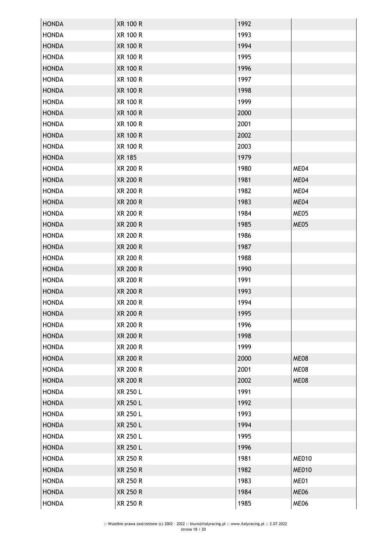| <b>HONDA</b> | <b>XR 100 R</b> | 1992 |              |
|--------------|-----------------|------|--------------|
| <b>HONDA</b> | <b>XR 100 R</b> | 1993 |              |
| <b>HONDA</b> | <b>XR 100 R</b> | 1994 |              |
| <b>HONDA</b> | <b>XR 100 R</b> | 1995 |              |
| <b>HONDA</b> | <b>XR 100 R</b> | 1996 |              |
| <b>HONDA</b> | <b>XR 100 R</b> | 1997 |              |
| <b>HONDA</b> | <b>XR 100 R</b> | 1998 |              |
| <b>HONDA</b> | <b>XR 100 R</b> | 1999 |              |
| <b>HONDA</b> | <b>XR 100 R</b> | 2000 |              |
| <b>HONDA</b> | <b>XR 100 R</b> | 2001 |              |
| <b>HONDA</b> | <b>XR 100 R</b> | 2002 |              |
| <b>HONDA</b> | <b>XR 100 R</b> | 2003 |              |
| <b>HONDA</b> | <b>XR 185</b>   | 1979 |              |
| <b>HONDA</b> | XR 200 R        | 1980 | ME04         |
| <b>HONDA</b> | <b>XR 200 R</b> | 1981 | ME04         |
| <b>HONDA</b> | <b>XR 200 R</b> | 1982 | ME04         |
| <b>HONDA</b> | <b>XR 200 R</b> | 1983 | ME04         |
| <b>HONDA</b> | <b>XR 200 R</b> | 1984 | ME05         |
| <b>HONDA</b> | <b>XR 200 R</b> | 1985 | ME05         |
| <b>HONDA</b> | XR 200 R        | 1986 |              |
| <b>HONDA</b> | <b>XR 200 R</b> | 1987 |              |
| <b>HONDA</b> | XR 200 R        | 1988 |              |
| <b>HONDA</b> | <b>XR 200 R</b> | 1990 |              |
| <b>HONDA</b> | <b>XR 200 R</b> | 1991 |              |
| <b>HONDA</b> | <b>XR 200 R</b> | 1993 |              |
| <b>HONDA</b> | XR 200 R        | 1994 |              |
| <b>HONDA</b> | <b>XR 200 R</b> | 1995 |              |
| <b>HONDA</b> | XR 200 R        | 1996 |              |
| <b>HONDA</b> | <b>XR 200 R</b> | 1998 |              |
| <b>HONDA</b> | XR 200 R        | 1999 |              |
| <b>HONDA</b> | <b>XR 200 R</b> | 2000 | ME08         |
| <b>HONDA</b> | XR 200 R        | 2001 | ME08         |
| <b>HONDA</b> | <b>XR 200 R</b> | 2002 | ME08         |
| <b>HONDA</b> | <b>XR 250 L</b> | 1991 |              |
| <b>HONDA</b> | XR 250 L        | 1992 |              |
| <b>HONDA</b> | XR 250 L        | 1993 |              |
| <b>HONDA</b> | XR 250 L        | 1994 |              |
| <b>HONDA</b> | XR 250 L        | 1995 |              |
| <b>HONDA</b> | XR 250 L        | 1996 |              |
| <b>HONDA</b> | XR 250 R        | 1981 | <b>ME010</b> |
| <b>HONDA</b> | XR 250 R        | 1982 | <b>ME010</b> |
| <b>HONDA</b> | XR 250 R        | 1983 | ME01         |
| <b>HONDA</b> | XR 250 R        | 1984 | ME06         |
| <b>HONDA</b> | XR 250 R        | 1985 | ME06         |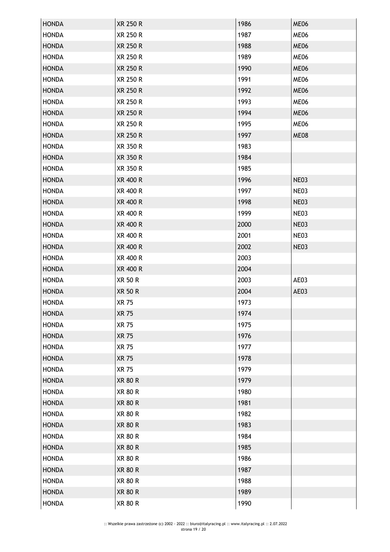| <b>HONDA</b> | <b>XR 250 R</b> | 1986 | ME06 |
|--------------|-----------------|------|------|
| <b>HONDA</b> | <b>XR 250 R</b> | 1987 | ME06 |
| <b>HONDA</b> | XR 250 R        | 1988 | ME06 |
| <b>HONDA</b> | XR 250 R        | 1989 | ME06 |
| <b>HONDA</b> | <b>XR 250 R</b> | 1990 | ME06 |
| <b>HONDA</b> | XR 250 R        | 1991 | ME06 |
| <b>HONDA</b> | <b>XR 250 R</b> | 1992 | ME06 |
| <b>HONDA</b> | <b>XR 250 R</b> | 1993 | ME06 |
| <b>HONDA</b> | XR 250 R        | 1994 | ME06 |
| <b>HONDA</b> | XR 250 R        | 1995 | ME06 |
| <b>HONDA</b> | <b>XR 250 R</b> | 1997 | ME08 |
| <b>HONDA</b> | XR 350 R        | 1983 |      |
| <b>HONDA</b> | XR 350 R        | 1984 |      |
| <b>HONDA</b> | XR 350 R        | 1985 |      |
| <b>HONDA</b> | <b>XR 400 R</b> | 1996 | NE03 |
| <b>HONDA</b> | XR 400 R        | 1997 | NE03 |
| <b>HONDA</b> | XR 400 R        | 1998 | NE03 |
| <b>HONDA</b> | XR 400 R        | 1999 | NE03 |
| <b>HONDA</b> | XR 400 R        | 2000 | NE03 |
| <b>HONDA</b> | XR 400 R        | 2001 | NE03 |
| <b>HONDA</b> | XR 400 R        | 2002 | NE03 |
| <b>HONDA</b> | XR 400 R        | 2003 |      |
| <b>HONDA</b> | XR 400 R        | 2004 |      |
| <b>HONDA</b> | XR 50 R         | 2003 | AE03 |
| <b>HONDA</b> | <b>XR 50 R</b>  | 2004 | AE03 |
| <b>HONDA</b> | <b>XR 75</b>    | 1973 |      |
| <b>HONDA</b> | <b>XR 75</b>    | 1974 |      |
| <b>HONDA</b> | <b>XR 75</b>    | 1975 |      |
| <b>HONDA</b> | <b>XR 75</b>    | 1976 |      |
| <b>HONDA</b> | <b>XR 75</b>    | 1977 |      |
| <b>HONDA</b> | <b>XR 75</b>    | 1978 |      |
| <b>HONDA</b> | <b>XR 75</b>    | 1979 |      |
| <b>HONDA</b> | <b>XR 80 R</b>  | 1979 |      |
| <b>HONDA</b> | <b>XR 80 R</b>  | 1980 |      |
| <b>HONDA</b> | <b>XR 80 R</b>  | 1981 |      |
| <b>HONDA</b> | <b>XR 80 R</b>  | 1982 |      |
| <b>HONDA</b> | <b>XR 80 R</b>  | 1983 |      |
| <b>HONDA</b> | <b>XR 80 R</b>  | 1984 |      |
| <b>HONDA</b> | <b>XR 80 R</b>  | 1985 |      |
| <b>HONDA</b> | <b>XR 80 R</b>  | 1986 |      |
| <b>HONDA</b> | <b>XR 80 R</b>  | 1987 |      |
| <b>HONDA</b> | <b>XR 80 R</b>  | 1988 |      |
| <b>HONDA</b> | <b>XR 80 R</b>  | 1989 |      |
| <b>HONDA</b> | <b>XR 80 R</b>  | 1990 |      |
|              |                 |      |      |